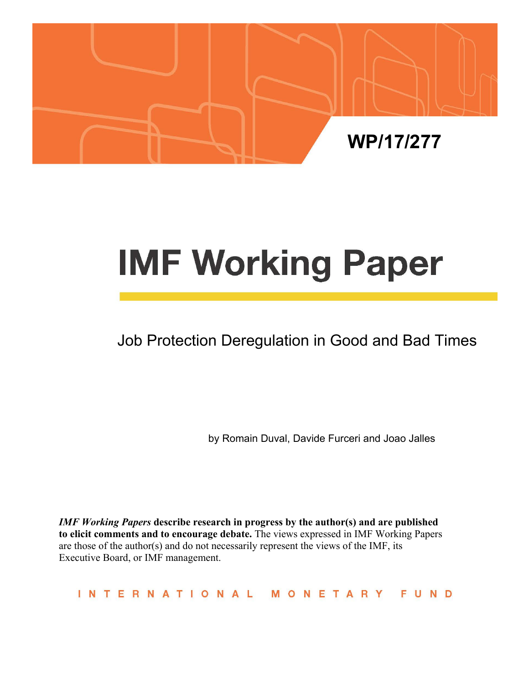

# **IMF Working Paper**

# Job Protection Deregulation in Good and Bad Times

by Romain Duval, Davide Furceri and Joao Jalles

*IMF Working Papers* **describe research in progress by the author(s) and are published to elicit comments and to encourage debate.** The views expressed in IMF Working Papers are those of the author(s) and do not necessarily represent the views of the IMF, its Executive Board, or IMF management.

INTERNATIONAL MONETARY FUND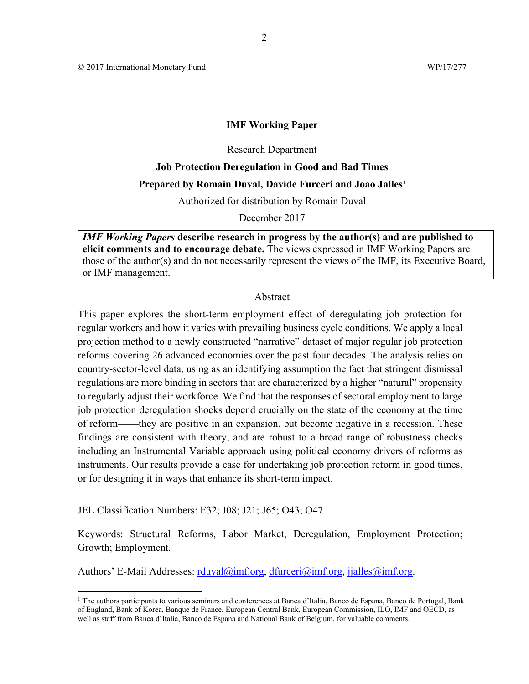© 2017 International Monetary Fund WP/17/277

#### **IMF Working Paper**

2

#### Research Department

# **Job Protection Deregulation in Good and Bad Times Prepared by Romain Duval, Davide Furceri and Joao Jalles1**

Authorized for distribution by Romain Duval

December 2017

*IMF Working Papers* **describe research in progress by the author(s) and are published to elicit comments and to encourage debate.** The views expressed in IMF Working Papers are those of the author(s) and do not necessarily represent the views of the IMF, its Executive Board, or IMF management.

#### Abstract

This paper explores the short-term employment effect of deregulating job protection for regular workers and how it varies with prevailing business cycle conditions. We apply a local projection method to a newly constructed "narrative" dataset of major regular job protection reforms covering 26 advanced economies over the past four decades. The analysis relies on country-sector-level data, using as an identifying assumption the fact that stringent dismissal regulations are more binding in sectors that are characterized by a higher "natural" propensity to regularly adjust their workforce. We find that the responses of sectoral employment to large job protection deregulation shocks depend crucially on the state of the economy at the time of reform——they are positive in an expansion, but become negative in a recession. These findings are consistent with theory, and are robust to a broad range of robustness checks including an Instrumental Variable approach using political economy drivers of reforms as instruments. Our results provide a case for undertaking job protection reform in good times, or for designing it in ways that enhance its short-term impact.

JEL Classification Numbers: E32; J08; J21; J65; O43; O47

Keywords: Structural Reforms, Labor Market, Deregulation, Employment Protection; Growth; Employment.

Authors' E-Mail Addresses: rduval@imf.org, dfurceri@imf.org, jjalles@imf.org.

<sup>&</sup>lt;sup>1</sup> The authors participants to various seminars and conferences at Banca d'Italia, Banco de Espana, Banco de Portugal, Bank of England, Bank of Korea, Banque de France, European Central Bank, European Commission, ILO, IMF and OECD, as well as staff from Banca d'Italia, Banco de Espana and National Bank of Belgium, for valuable comments.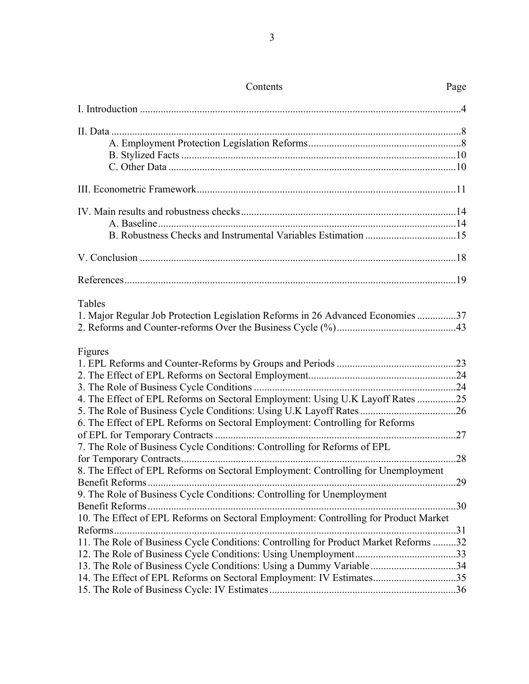| Contents                                                                                  | Page |
|-------------------------------------------------------------------------------------------|------|
|                                                                                           |      |
|                                                                                           |      |
|                                                                                           |      |
|                                                                                           |      |
|                                                                                           |      |
|                                                                                           |      |
|                                                                                           |      |
|                                                                                           |      |
|                                                                                           |      |
|                                                                                           |      |
|                                                                                           |      |
| Tables<br>1. Major Regular Job Protection Legislation Reforms in 26 Advanced Economies 37 |      |
| Figures                                                                                   |      |
|                                                                                           |      |
|                                                                                           |      |
| 4. The Effect of EPL Reforms on Sectoral Employment: Using U.K Layoff Rates 25            |      |
|                                                                                           |      |
| 6. The Effect of EPL Reforms on Sectoral Employment: Controlling for Reforms              |      |
|                                                                                           |      |
| 7. The Role of Business Cycle Conditions: Controlling for Reforms of EPL                  |      |
|                                                                                           |      |
| 8. The Effect of EPL Reforms on Sectoral Employment: Controlling for Unemployment         |      |
| Benefit Reforms                                                                           |      |
| 9. The Role of Business Cycle Conditions: Controlling for Unemployment                    |      |
|                                                                                           |      |
| 10. The Effect of EPL Reforms on Sectoral Employment: Controlling for Product Market      |      |
| 11. The Role of Business Cycle Conditions: Controlling for Product Market Reforms 32      |      |
|                                                                                           |      |
| 13. The Role of Business Cycle Conditions: Using a Dummy Variable34                       |      |
| 14. The Effect of EPL Reforms on Sectoral Employment: IV Estimates35                      |      |
|                                                                                           |      |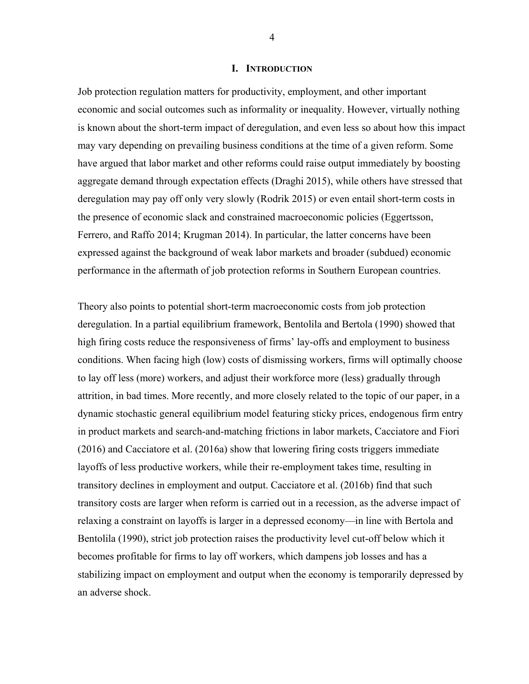#### **I. INTRODUCTION**

Job protection regulation matters for productivity, employment, and other important economic and social outcomes such as informality or inequality. However, virtually nothing is known about the short-term impact of deregulation, and even less so about how this impact may vary depending on prevailing business conditions at the time of a given reform. Some have argued that labor market and other reforms could raise output immediately by boosting aggregate demand through expectation effects (Draghi 2015), while others have stressed that deregulation may pay off only very slowly (Rodrik 2015) or even entail short-term costs in the presence of economic slack and constrained macroeconomic policies (Eggertsson, Ferrero, and Raffo 2014; Krugman 2014). In particular, the latter concerns have been expressed against the background of weak labor markets and broader (subdued) economic performance in the aftermath of job protection reforms in Southern European countries.

Theory also points to potential short-term macroeconomic costs from job protection deregulation. In a partial equilibrium framework, Bentolila and Bertola (1990) showed that high firing costs reduce the responsiveness of firms' lay-offs and employment to business conditions. When facing high (low) costs of dismissing workers, firms will optimally choose to lay off less (more) workers, and adjust their workforce more (less) gradually through attrition, in bad times. More recently, and more closely related to the topic of our paper, in a dynamic stochastic general equilibrium model featuring sticky prices, endogenous firm entry in product markets and search-and-matching frictions in labor markets, Cacciatore and Fiori (2016) and Cacciatore et al. (2016a) show that lowering firing costs triggers immediate layoffs of less productive workers, while their re-employment takes time, resulting in transitory declines in employment and output. Cacciatore et al. (2016b) find that such transitory costs are larger when reform is carried out in a recession, as the adverse impact of relaxing a constraint on layoffs is larger in a depressed economy—in line with Bertola and Bentolila (1990), strict job protection raises the productivity level cut-off below which it becomes profitable for firms to lay off workers, which dampens job losses and has a stabilizing impact on employment and output when the economy is temporarily depressed by an adverse shock.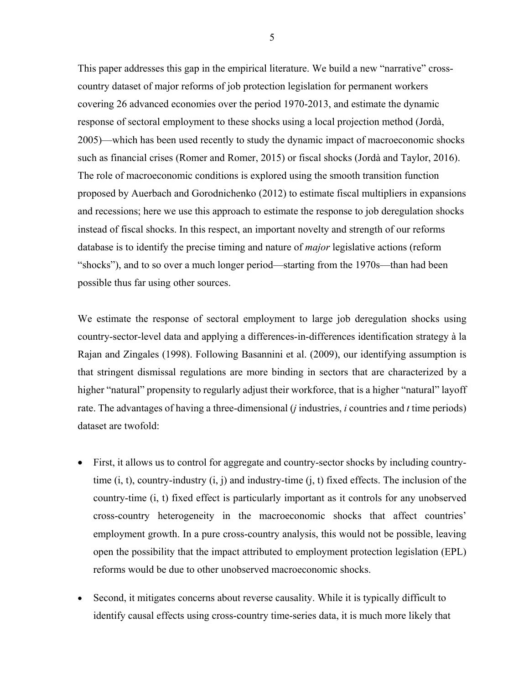This paper addresses this gap in the empirical literature. We build a new "narrative" crosscountry dataset of major reforms of job protection legislation for permanent workers covering 26 advanced economies over the period 1970-2013, and estimate the dynamic response of sectoral employment to these shocks using a local projection method (Jordà, 2005)—which has been used recently to study the dynamic impact of macroeconomic shocks such as financial crises (Romer and Romer, 2015) or fiscal shocks (Jordà and Taylor, 2016). The role of macroeconomic conditions is explored using the smooth transition function proposed by Auerbach and Gorodnichenko (2012) to estimate fiscal multipliers in expansions and recessions; here we use this approach to estimate the response to job deregulation shocks instead of fiscal shocks. In this respect, an important novelty and strength of our reforms database is to identify the precise timing and nature of *major* legislative actions (reform "shocks"), and to so over a much longer period—starting from the 1970s—than had been possible thus far using other sources.

We estimate the response of sectoral employment to large job deregulation shocks using country-sector-level data and applying a differences-in-differences identification strategy à la Rajan and Zingales (1998). Following Basannini et al. (2009), our identifying assumption is that stringent dismissal regulations are more binding in sectors that are characterized by a higher "natural" propensity to regularly adjust their workforce, that is a higher "natural" layoff rate. The advantages of having a three-dimensional (*j* industries, *i* countries and *t* time periods) dataset are twofold:

- First, it allows us to control for aggregate and country-sector shocks by including countrytime  $(i, t)$ , country-industry  $(i, j)$  and industry-time  $(i, t)$  fixed effects. The inclusion of the country-time (i, t) fixed effect is particularly important as it controls for any unobserved cross-country heterogeneity in the macroeconomic shocks that affect countries' employment growth. In a pure cross-country analysis, this would not be possible, leaving open the possibility that the impact attributed to employment protection legislation (EPL) reforms would be due to other unobserved macroeconomic shocks.
- Second, it mitigates concerns about reverse causality. While it is typically difficult to identify causal effects using cross-country time-series data, it is much more likely that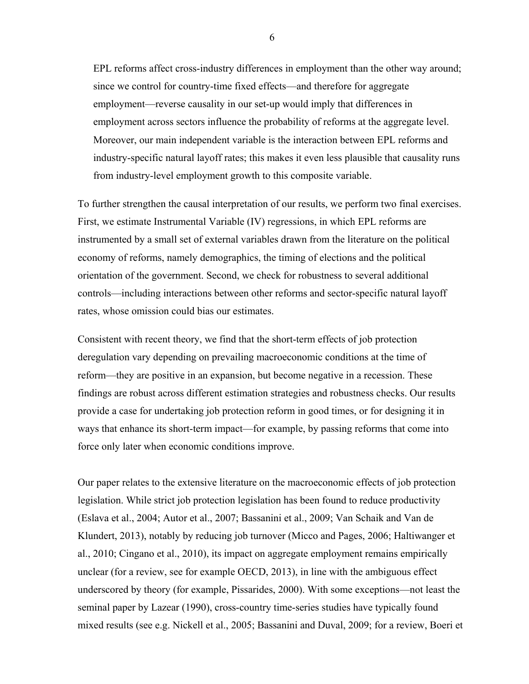EPL reforms affect cross-industry differences in employment than the other way around; since we control for country-time fixed effects—and therefore for aggregate employment—reverse causality in our set-up would imply that differences in employment across sectors influence the probability of reforms at the aggregate level. Moreover, our main independent variable is the interaction between EPL reforms and industry-specific natural layoff rates; this makes it even less plausible that causality runs from industry-level employment growth to this composite variable.

To further strengthen the causal interpretation of our results, we perform two final exercises. First, we estimate Instrumental Variable (IV) regressions, in which EPL reforms are instrumented by a small set of external variables drawn from the literature on the political economy of reforms, namely demographics, the timing of elections and the political orientation of the government. Second, we check for robustness to several additional controls—including interactions between other reforms and sector-specific natural layoff rates, whose omission could bias our estimates.

Consistent with recent theory, we find that the short-term effects of job protection deregulation vary depending on prevailing macroeconomic conditions at the time of reform—they are positive in an expansion, but become negative in a recession. These findings are robust across different estimation strategies and robustness checks. Our results provide a case for undertaking job protection reform in good times, or for designing it in ways that enhance its short-term impact—for example, by passing reforms that come into force only later when economic conditions improve.

Our paper relates to the extensive literature on the macroeconomic effects of job protection legislation. While strict job protection legislation has been found to reduce productivity (Eslava et al., 2004; Autor et al., 2007; Bassanini et al., 2009; Van Schaik and Van de Klundert, 2013), notably by reducing job turnover (Micco and Pages, 2006; Haltiwanger et al., 2010; Cingano et al., 2010), its impact on aggregate employment remains empirically unclear (for a review, see for example OECD, 2013), in line with the ambiguous effect underscored by theory (for example, Pissarides, 2000). With some exceptions—not least the seminal paper by Lazear (1990), cross-country time-series studies have typically found mixed results (see e.g. Nickell et al., 2005; Bassanini and Duval, 2009; for a review, Boeri et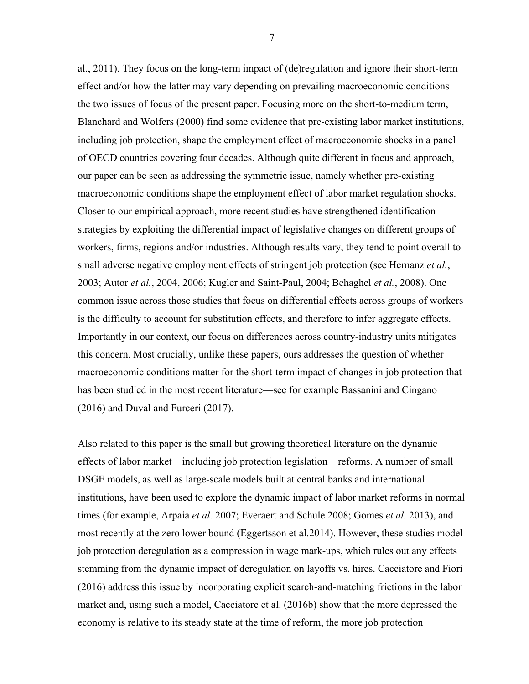al., 2011). They focus on the long-term impact of (de)regulation and ignore their short-term effect and/or how the latter may vary depending on prevailing macroeconomic conditions the two issues of focus of the present paper. Focusing more on the short-to-medium term, Blanchard and Wolfers (2000) find some evidence that pre-existing labor market institutions, including job protection, shape the employment effect of macroeconomic shocks in a panel of OECD countries covering four decades. Although quite different in focus and approach, our paper can be seen as addressing the symmetric issue, namely whether pre-existing macroeconomic conditions shape the employment effect of labor market regulation shocks. Closer to our empirical approach, more recent studies have strengthened identification strategies by exploiting the differential impact of legislative changes on different groups of workers, firms, regions and/or industries. Although results vary, they tend to point overall to small adverse negative employment effects of stringent job protection (see Hernanz *et al.*, 2003; Autor *et al.*, 2004, 2006; Kugler and Saint-Paul, 2004; Behaghel *et al.*, 2008). One common issue across those studies that focus on differential effects across groups of workers is the difficulty to account for substitution effects, and therefore to infer aggregate effects. Importantly in our context, our focus on differences across country-industry units mitigates this concern. Most crucially, unlike these papers, ours addresses the question of whether macroeconomic conditions matter for the short-term impact of changes in job protection that has been studied in the most recent literature—see for example Bassanini and Cingano (2016) and Duval and Furceri (2017).

Also related to this paper is the small but growing theoretical literature on the dynamic effects of labor market—including job protection legislation—reforms. A number of small DSGE models, as well as large-scale models built at central banks and international institutions, have been used to explore the dynamic impact of labor market reforms in normal times (for example, Arpaia *et al.* 2007; Everaert and Schule 2008; Gomes *et al.* 2013), and most recently at the zero lower bound (Eggertsson et al.2014). However, these studies model job protection deregulation as a compression in wage mark-ups, which rules out any effects stemming from the dynamic impact of deregulation on layoffs vs. hires. Cacciatore and Fiori (2016) address this issue by incorporating explicit search-and-matching frictions in the labor market and, using such a model, Cacciatore et al. (2016b) show that the more depressed the economy is relative to its steady state at the time of reform, the more job protection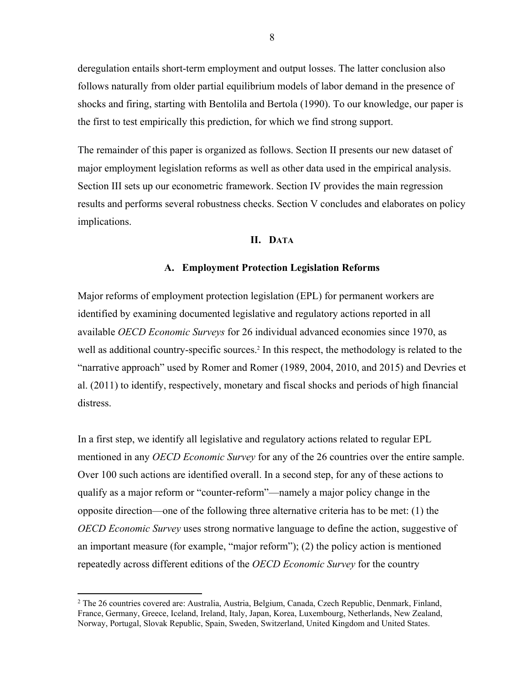deregulation entails short-term employment and output losses. The latter conclusion also follows naturally from older partial equilibrium models of labor demand in the presence of shocks and firing, starting with Bentolila and Bertola (1990). To our knowledge, our paper is the first to test empirically this prediction, for which we find strong support.

The remainder of this paper is organized as follows. Section II presents our new dataset of major employment legislation reforms as well as other data used in the empirical analysis. Section III sets up our econometric framework. Section IV provides the main regression results and performs several robustness checks. Section V concludes and elaborates on policy implications.

#### **II. DATA**

#### **A. Employment Protection Legislation Reforms**

Major reforms of employment protection legislation (EPL) for permanent workers are identified by examining documented legislative and regulatory actions reported in all available *OECD Economic Surveys* for 26 individual advanced economies since 1970, as well as additional country-specific sources.<sup>2</sup> In this respect, the methodology is related to the "narrative approach" used by Romer and Romer (1989, 2004, 2010, and 2015) and Devries et al. (2011) to identify, respectively, monetary and fiscal shocks and periods of high financial distress.

In a first step, we identify all legislative and regulatory actions related to regular EPL mentioned in any *OECD Economic Survey* for any of the 26 countries over the entire sample. Over 100 such actions are identified overall. In a second step, for any of these actions to qualify as a major reform or "counter-reform"—namely a major policy change in the opposite direction—one of the following three alternative criteria has to be met: (1) the *OECD Economic Survey* uses strong normative language to define the action, suggestive of an important measure (for example, "major reform"); (2) the policy action is mentioned repeatedly across different editions of the *OECD Economic Survey* for the country

 $\overline{a}$ 

<sup>2</sup> The 26 countries covered are: Australia, Austria, Belgium, Canada, Czech Republic, Denmark, Finland, France, Germany, Greece, Iceland, Ireland, Italy, Japan, Korea, Luxembourg, Netherlands, New Zealand, Norway, Portugal, Slovak Republic, Spain, Sweden, Switzerland, United Kingdom and United States.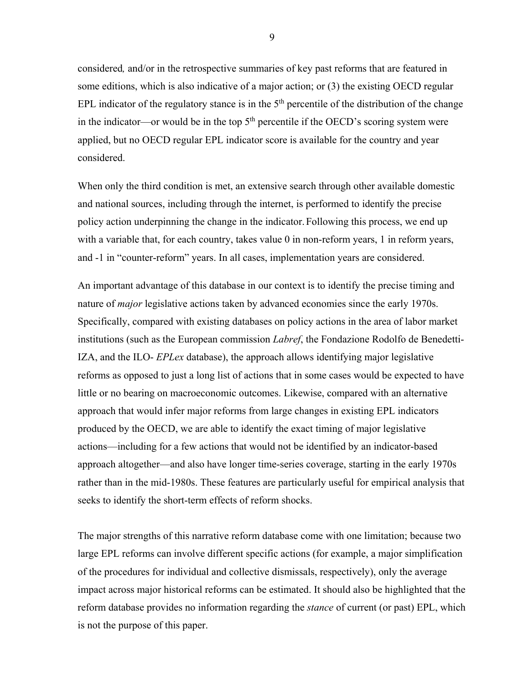considered*,* and/or in the retrospective summaries of key past reforms that are featured in some editions, which is also indicative of a major action; or (3) the existing OECD regular EPL indicator of the regulatory stance is in the  $5<sup>th</sup>$  percentile of the distribution of the change in the indicator—or would be in the top  $5<sup>th</sup>$  percentile if the OECD's scoring system were applied, but no OECD regular EPL indicator score is available for the country and year considered.

When only the third condition is met, an extensive search through other available domestic and national sources, including through the internet, is performed to identify the precise policy action underpinning the change in the indicator.Following this process, we end up with a variable that, for each country, takes value 0 in non-reform years, 1 in reform years, and -1 in "counter-reform" years. In all cases, implementation years are considered.

An important advantage of this database in our context is to identify the precise timing and nature of *major* legislative actions taken by advanced economies since the early 1970s. Specifically, compared with existing databases on policy actions in the area of labor market institutions (such as the European commission *Labref*, the Fondazione Rodolfo de Benedetti-IZA, and the ILO- *EPLex* database), the approach allows identifying major legislative reforms as opposed to just a long list of actions that in some cases would be expected to have little or no bearing on macroeconomic outcomes. Likewise, compared with an alternative approach that would infer major reforms from large changes in existing EPL indicators produced by the OECD, we are able to identify the exact timing of major legislative actions—including for a few actions that would not be identified by an indicator-based approach altogether—and also have longer time-series coverage, starting in the early 1970s rather than in the mid-1980s. These features are particularly useful for empirical analysis that seeks to identify the short-term effects of reform shocks.

The major strengths of this narrative reform database come with one limitation; because two large EPL reforms can involve different specific actions (for example, a major simplification of the procedures for individual and collective dismissals, respectively), only the average impact across major historical reforms can be estimated. It should also be highlighted that the reform database provides no information regarding the *stance* of current (or past) EPL, which is not the purpose of this paper.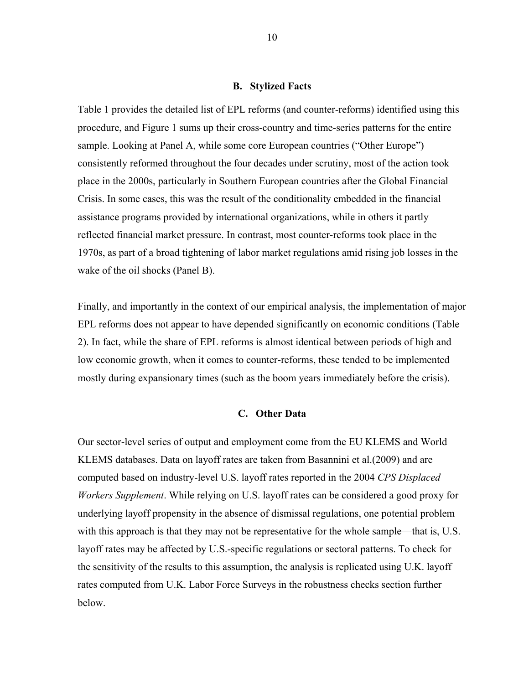#### **B. Stylized Facts**

Table 1 provides the detailed list of EPL reforms (and counter-reforms) identified using this procedure, and Figure 1 sums up their cross-country and time-series patterns for the entire sample. Looking at Panel A, while some core European countries ("Other Europe") consistently reformed throughout the four decades under scrutiny, most of the action took place in the 2000s, particularly in Southern European countries after the Global Financial Crisis. In some cases, this was the result of the conditionality embedded in the financial assistance programs provided by international organizations, while in others it partly reflected financial market pressure. In contrast, most counter-reforms took place in the 1970s, as part of a broad tightening of labor market regulations amid rising job losses in the wake of the oil shocks (Panel B).

Finally, and importantly in the context of our empirical analysis, the implementation of major EPL reforms does not appear to have depended significantly on economic conditions (Table 2). In fact, while the share of EPL reforms is almost identical between periods of high and low economic growth, when it comes to counter-reforms, these tended to be implemented mostly during expansionary times (such as the boom years immediately before the crisis).

#### **C. Other Data**

Our sector-level series of output and employment come from the EU KLEMS and World KLEMS databases. Data on layoff rates are taken from Basannini et al.(2009) and are computed based on industry-level U.S. layoff rates reported in the 2004 *CPS Displaced Workers Supplement*. While relying on U.S. layoff rates can be considered a good proxy for underlying layoff propensity in the absence of dismissal regulations, one potential problem with this approach is that they may not be representative for the whole sample—that is, U.S. layoff rates may be affected by U.S.-specific regulations or sectoral patterns. To check for the sensitivity of the results to this assumption, the analysis is replicated using U.K. layoff rates computed from U.K. Labor Force Surveys in the robustness checks section further below.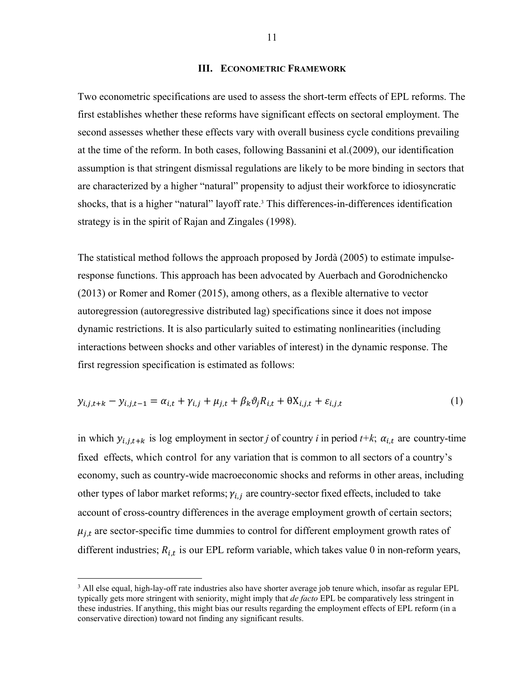#### **III. ECONOMETRIC FRAMEWORK**

Two econometric specifications are used to assess the short-term effects of EPL reforms. The first establishes whether these reforms have significant effects on sectoral employment. The second assesses whether these effects vary with overall business cycle conditions prevailing at the time of the reform. In both cases, following Bassanini et al.(2009), our identification assumption is that stringent dismissal regulations are likely to be more binding in sectors that are characterized by a higher "natural" propensity to adjust their workforce to idiosyncratic shocks, that is a higher "natural" layoff rate.<sup>3</sup> This differences-in-differences identification strategy is in the spirit of Rajan and Zingales (1998).

The statistical method follows the approach proposed by Jordà (2005) to estimate impulseresponse functions. This approach has been advocated by Auerbach and Gorodnichencko (2013) or Romer and Romer (2015), among others, as a flexible alternative to vector autoregression (autoregressive distributed lag) specifications since it does not impose dynamic restrictions. It is also particularly suited to estimating nonlinearities (including interactions between shocks and other variables of interest) in the dynamic response. The first regression specification is estimated as follows:

$$
y_{i,j,t+k} - y_{i,j,t-1} = \alpha_{i,t} + \gamma_{i,j} + \mu_{j,t} + \beta_k \vartheta_j R_{i,t} + \theta X_{i,j,t} + \varepsilon_{i,j,t}
$$
\n
$$
\tag{1}
$$

in which  $y_{i,j,t+k}$  is log employment in sector *j* of country *i* in period  $t+k$ ;  $\alpha_{i,t}$  are country-time fixed effects, which control for any variation that is common to all sectors of a country's economy, such as country-wide macroeconomic shocks and reforms in other areas, including other types of labor market reforms;  $\gamma_{i,j}$  are country-sector fixed effects, included to take account of cross-country differences in the average employment growth of certain sectors;  $\mu_{i,t}$  are sector-specific time dummies to control for different employment growth rates of different industries;  $R_{i,t}$  is our EPL reform variable, which takes value 0 in non-reform years,

 $\overline{a}$ 

<sup>&</sup>lt;sup>3</sup> All else equal, high-lay-off rate industries also have shorter average job tenure which, insofar as regular EPL typically gets more stringent with seniority, might imply that *de facto* EPL be comparatively less stringent in these industries. If anything, this might bias our results regarding the employment effects of EPL reform (in a conservative direction) toward not finding any significant results.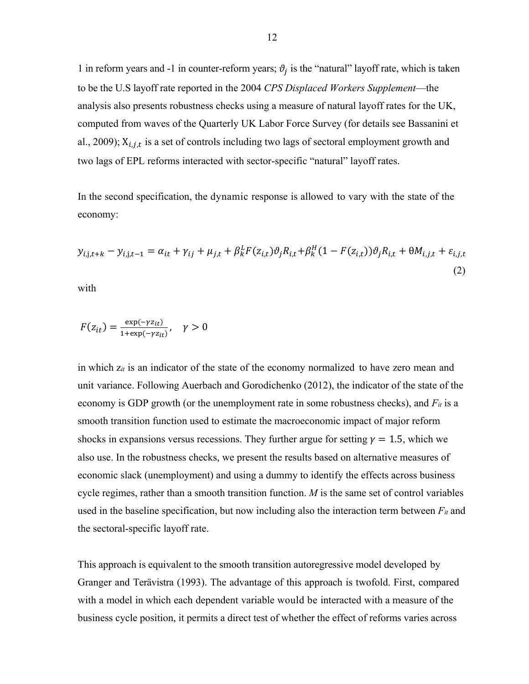1 in reform years and -1 in counter-reform years;  $\vartheta_j$  is the "natural" layoff rate, which is taken to be the U.S layoff rate reported in the 2004 *CPS Displaced Workers Supplement*—the analysis also presents robustness checks using a measure of natural layoff rates for the UK, computed from waves of the Quarterly UK Labor Force Survey (for details see Bassanini et al., 2009);  $X_{i,i,t}$  is a set of controls including two lags of sectoral employment growth and two lags of EPL reforms interacted with sector-specific "natural" layoff rates.

In the second specification, the dynamic response is allowed to vary with the state of the economy:

$$
y_{i,j,t+k} - y_{i,j,t-1} = \alpha_{it} + \gamma_{ij} + \mu_{j,t} + \beta_k^L F(z_{i,t}) \vartheta_j R_{i,t} + \beta_k^H (1 - F(z_{i,t})) \vartheta_j R_{i,t} + \theta M_{i,j,t} + \varepsilon_{i,j,t}
$$
\n(2)

with

$$
F(z_{it}) = \frac{\exp(-\gamma z_{it})}{1 + \exp(-\gamma z_{it})}, \quad \gamma > 0
$$

in which z*it* is an indicator of the state of the economy normalized to have zero mean and unit variance. Following Auerbach and Gorodichenko (2012), the indicator of the state of the economy is GDP growth (or the unemployment rate in some robustness checks), and  $F_{it}$  is a smooth transition function used to estimate the macroeconomic impact of major reform shocks in expansions versus recessions. They further argue for setting  $\gamma = 1.5$ , which we also use. In the robustness checks, we present the results based on alternative measures of economic slack (unemployment) and using a dummy to identify the effects across business cycle regimes, rather than a smooth transition function. *M* is the same set of control variables used in the baseline specification, but now including also the interaction term between  $F_{it}$  and the sectoral-specific layoff rate.

This approach is equivalent to the smooth transition autoregressive model developed by Granger and Terävistra (1993). The advantage of this approach is twofold. First, compared with a model in which each dependent variable would be interacted with a measure of the business cycle position, it permits a direct test of whether the effect of reforms varies across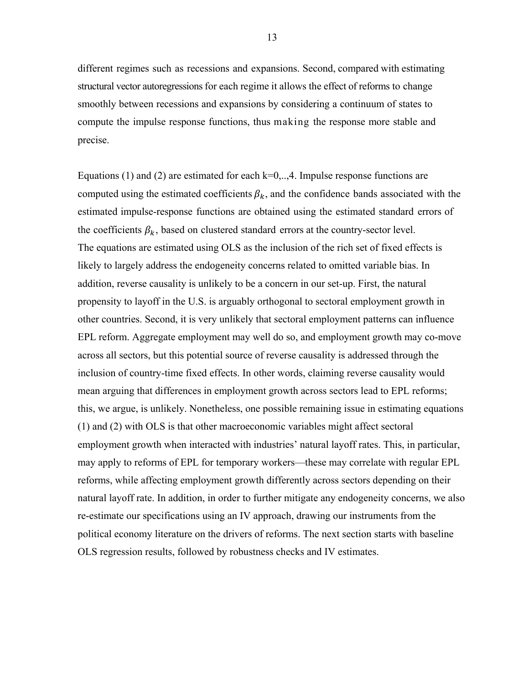different regimes such as recessions and expansions. Second, compared with estimating structural vector autoregressions for each regime it allows the effect of reforms to change smoothly between recessions and expansions by considering a continuum of states to compute the impulse response functions, thus making the response more stable and precise.

Equations (1) and (2) are estimated for each  $k=0, \ldots, 4$ . Impulse response functions are computed using the estimated coefficients  $\beta_k$ , and the confidence bands associated with the estimated impulse-response functions are obtained using the estimated standard errors of the coefficients  $\beta_k$ , based on clustered standard errors at the country-sector level. The equations are estimated using OLS as the inclusion of the rich set of fixed effects is likely to largely address the endogeneity concerns related to omitted variable bias. In addition, reverse causality is unlikely to be a concern in our set-up. First, the natural propensity to layoff in the U.S. is arguably orthogonal to sectoral employment growth in other countries. Second, it is very unlikely that sectoral employment patterns can influence EPL reform. Aggregate employment may well do so, and employment growth may co-move across all sectors, but this potential source of reverse causality is addressed through the inclusion of country-time fixed effects. In other words, claiming reverse causality would mean arguing that differences in employment growth across sectors lead to EPL reforms; this, we argue, is unlikely. Nonetheless, one possible remaining issue in estimating equations (1) and (2) with OLS is that other macroeconomic variables might affect sectoral employment growth when interacted with industries' natural layoff rates. This, in particular, may apply to reforms of EPL for temporary workers—these may correlate with regular EPL reforms, while affecting employment growth differently across sectors depending on their natural layoff rate. In addition, in order to further mitigate any endogeneity concerns, we also re-estimate our specifications using an IV approach, drawing our instruments from the political economy literature on the drivers of reforms. The next section starts with baseline OLS regression results, followed by robustness checks and IV estimates.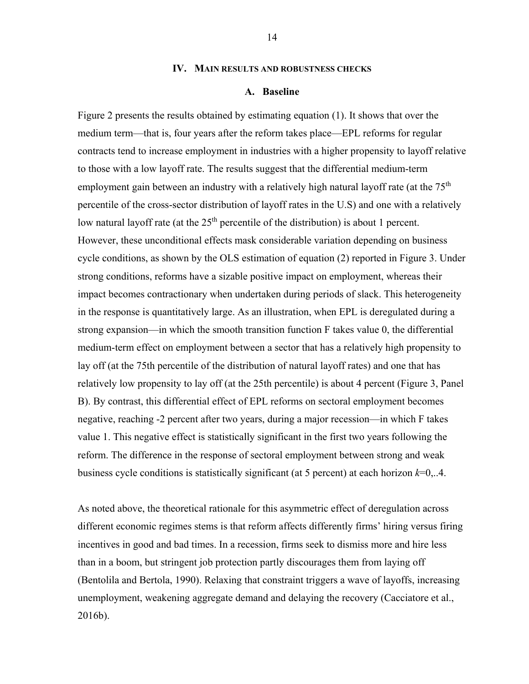#### **IV. MAIN RESULTS AND ROBUSTNESS CHECKS**

#### **A. Baseline**

Figure 2 presents the results obtained by estimating equation (1). It shows that over the medium term—that is, four years after the reform takes place—EPL reforms for regular contracts tend to increase employment in industries with a higher propensity to layoff relative to those with a low layoff rate. The results suggest that the differential medium-term employment gain between an industry with a relatively high natural layoff rate (at the  $75<sup>th</sup>$ percentile of the cross-sector distribution of layoff rates in the U.S) and one with a relatively low natural layoff rate (at the  $25<sup>th</sup>$  percentile of the distribution) is about 1 percent. However, these unconditional effects mask considerable variation depending on business cycle conditions, as shown by the OLS estimation of equation (2) reported in Figure 3. Under strong conditions, reforms have a sizable positive impact on employment, whereas their impact becomes contractionary when undertaken during periods of slack. This heterogeneity in the response is quantitatively large. As an illustration, when EPL is deregulated during a strong expansion—in which the smooth transition function F takes value 0, the differential medium-term effect on employment between a sector that has a relatively high propensity to lay off (at the 75th percentile of the distribution of natural layoff rates) and one that has relatively low propensity to lay off (at the 25th percentile) is about 4 percent (Figure 3, Panel B). By contrast, this differential effect of EPL reforms on sectoral employment becomes negative, reaching -2 percent after two years, during a major recession—in which F takes value 1. This negative effect is statistically significant in the first two years following the reform. The difference in the response of sectoral employment between strong and weak business cycle conditions is statistically significant (at 5 percent) at each horizon *k*=0,..4.

As noted above, the theoretical rationale for this asymmetric effect of deregulation across different economic regimes stems is that reform affects differently firms' hiring versus firing incentives in good and bad times. In a recession, firms seek to dismiss more and hire less than in a boom, but stringent job protection partly discourages them from laying off (Bentolila and Bertola, 1990). Relaxing that constraint triggers a wave of layoffs, increasing unemployment, weakening aggregate demand and delaying the recovery (Cacciatore et al., 2016b).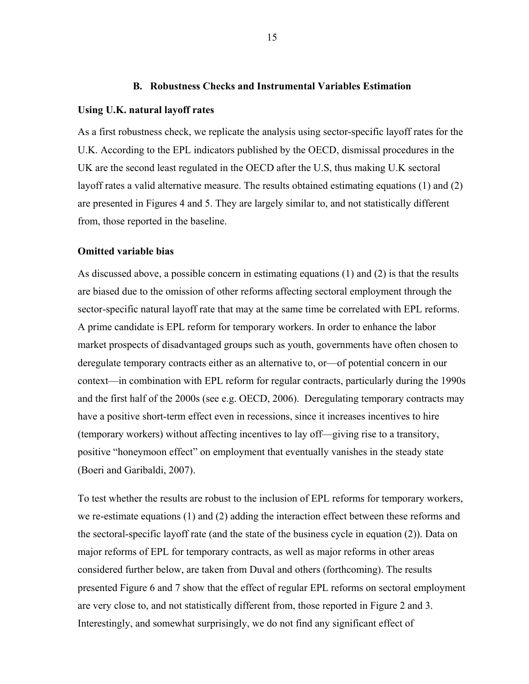#### **B. Robustness Checks and Instrumental Variables Estimation**

#### **Using U.K. natural layoff rates**

As a first robustness check, we replicate the analysis using sector-specific layoff rates for the U.K. According to the EPL indicators published by the OECD, dismissal procedures in the UK are the second least regulated in the OECD after the U.S, thus making U.K sectoral layoff rates a valid alternative measure. The results obtained estimating equations (1) and (2) are presented in Figures 4 and 5. They are largely similar to, and not statistically different from, those reported in the baseline.

#### **Omitted variable bias**

As discussed above, a possible concern in estimating equations (1) and (2) is that the results are biased due to the omission of other reforms affecting sectoral employment through the sector-specific natural layoff rate that may at the same time be correlated with EPL reforms. A prime candidate is EPL reform for temporary workers. In order to enhance the labor market prospects of disadvantaged groups such as youth, governments have often chosen to deregulate temporary contracts either as an alternative to, or—of potential concern in our context—in combination with EPL reform for regular contracts, particularly during the 1990s and the first half of the 2000s (see e.g. OECD, 2006). Deregulating temporary contracts may have a positive short-term effect even in recessions, since it increases incentives to hire (temporary workers) without affecting incentives to lay off—giving rise to a transitory, positive "honeymoon effect" on employment that eventually vanishes in the steady state (Boeri and Garibaldi, 2007).

To test whether the results are robust to the inclusion of EPL reforms for temporary workers, we re-estimate equations (1) and (2) adding the interaction effect between these reforms and the sectoral-specific layoff rate (and the state of the business cycle in equation (2)). Data on major reforms of EPL for temporary contracts, as well as major reforms in other areas considered further below, are taken from Duval and others (forthcoming). The results presented Figure 6 and 7 show that the effect of regular EPL reforms on sectoral employment are very close to, and not statistically different from, those reported in Figure 2 and 3. Interestingly, and somewhat surprisingly, we do not find any significant effect of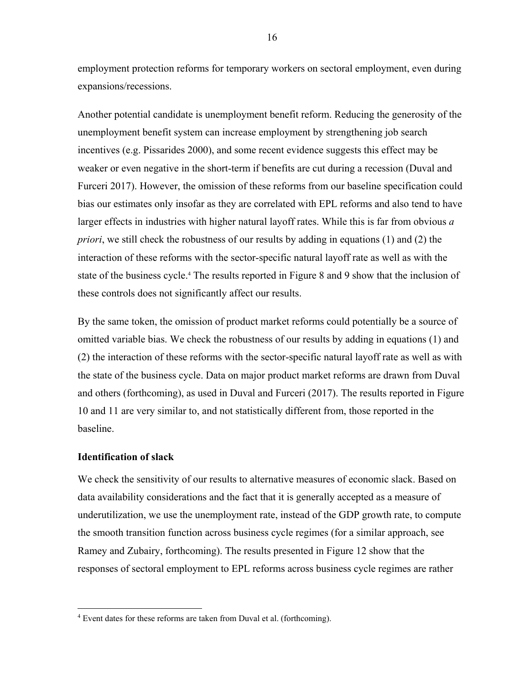employment protection reforms for temporary workers on sectoral employment, even during expansions/recessions.

Another potential candidate is unemployment benefit reform. Reducing the generosity of the unemployment benefit system can increase employment by strengthening job search incentives (e.g. Pissarides 2000), and some recent evidence suggests this effect may be weaker or even negative in the short-term if benefits are cut during a recession (Duval and Furceri 2017). However, the omission of these reforms from our baseline specification could bias our estimates only insofar as they are correlated with EPL reforms and also tend to have larger effects in industries with higher natural layoff rates. While this is far from obvious *a priori*, we still check the robustness of our results by adding in equations (1) and (2) the interaction of these reforms with the sector-specific natural layoff rate as well as with the state of the business cycle.<sup>4</sup> The results reported in Figure 8 and 9 show that the inclusion of these controls does not significantly affect our results.

By the same token, the omission of product market reforms could potentially be a source of omitted variable bias. We check the robustness of our results by adding in equations (1) and (2) the interaction of these reforms with the sector-specific natural layoff rate as well as with the state of the business cycle. Data on major product market reforms are drawn from Duval and others (forthcoming), as used in Duval and Furceri (2017). The results reported in Figure 10 and 11 are very similar to, and not statistically different from, those reported in the baseline.

#### **Identification of slack**

 $\overline{a}$ 

We check the sensitivity of our results to alternative measures of economic slack. Based on data availability considerations and the fact that it is generally accepted as a measure of underutilization, we use the unemployment rate, instead of the GDP growth rate, to compute the smooth transition function across business cycle regimes (for a similar approach, see Ramey and Zubairy, forthcoming). The results presented in Figure 12 show that the responses of sectoral employment to EPL reforms across business cycle regimes are rather

<sup>&</sup>lt;sup>4</sup> Event dates for these reforms are taken from Duval et al. (forthcoming).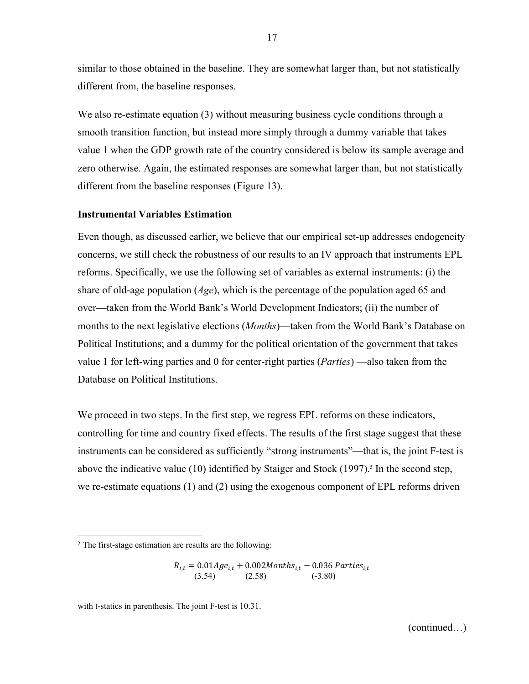similar to those obtained in the baseline. They are somewhat larger than, but not statistically different from, the baseline responses.

We also re-estimate equation (3) without measuring business cycle conditions through a smooth transition function, but instead more simply through a dummy variable that takes value 1 when the GDP growth rate of the country considered is below its sample average and zero otherwise. Again, the estimated responses are somewhat larger than, but not statistically different from the baseline responses (Figure 13).

#### **Instrumental Variables Estimation**

Even though, as discussed earlier, we believe that our empirical set-up addresses endogeneity concerns, we still check the robustness of our results to an IV approach that instruments EPL reforms. Specifically, we use the following set of variables as external instruments: (i) the share of old-age population (*Age*), which is the percentage of the population aged 65 and over—taken from the World Bank's World Development Indicators; (ii) the number of months to the next legislative elections (*Months*)—taken from the World Bank's Database on Political Institutions; and a dummy for the political orientation of the government that takes value 1 for left-wing parties and 0 for center-right parties (*Parties*) —also taken from the Database on Political Institutions.

We proceed in two steps. In the first step, we regress EPL reforms on these indicators, controlling for time and country fixed effects. The results of the first stage suggest that these instruments can be considered as sufficiently "strong instruments"—that is, the joint F-test is above the indicative value (10) identified by Staiger and Stock (1997).<sup>5</sup> In the second step, we re-estimate equations (1) and (2) using the exogenous component of EPL reforms driven

 $\overline{a}$ 

 $R_{i,t} = 0.01Age_{i,t} + 0.002 \text{Months}_{i,t} - 0.036 \text{ Parties}_{i,t}$  $(3.54)$   $(2.58)$   $(-3.80)$ 

with t-statics in parenthesis. The joint F-test is 10.31.

(continued…)

<sup>&</sup>lt;sup>5</sup> The first-stage estimation are results are the following: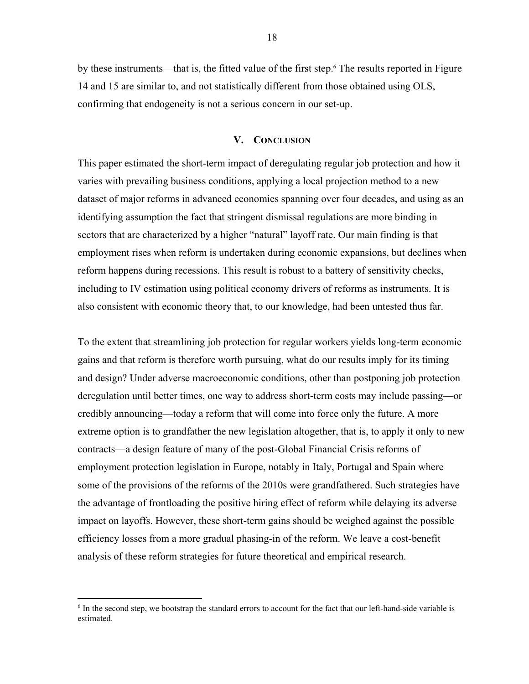by these instruments—that is, the fitted value of the first step.<sup>6</sup> The results reported in Figure 14 and 15 are similar to, and not statistically different from those obtained using OLS, confirming that endogeneity is not a serious concern in our set-up.

#### **V. CONCLUSION**

This paper estimated the short-term impact of deregulating regular job protection and how it varies with prevailing business conditions, applying a local projection method to a new dataset of major reforms in advanced economies spanning over four decades, and using as an identifying assumption the fact that stringent dismissal regulations are more binding in sectors that are characterized by a higher "natural" layoff rate. Our main finding is that employment rises when reform is undertaken during economic expansions, but declines when reform happens during recessions. This result is robust to a battery of sensitivity checks, including to IV estimation using political economy drivers of reforms as instruments. It is also consistent with economic theory that, to our knowledge, had been untested thus far.

To the extent that streamlining job protection for regular workers yields long-term economic gains and that reform is therefore worth pursuing, what do our results imply for its timing and design? Under adverse macroeconomic conditions, other than postponing job protection deregulation until better times, one way to address short-term costs may include passing—or credibly announcing—today a reform that will come into force only the future. A more extreme option is to grandfather the new legislation altogether, that is, to apply it only to new contracts—a design feature of many of the post-Global Financial Crisis reforms of employment protection legislation in Europe, notably in Italy, Portugal and Spain where some of the provisions of the reforms of the 2010s were grandfathered. Such strategies have the advantage of frontloading the positive hiring effect of reform while delaying its adverse impact on layoffs. However, these short-term gains should be weighed against the possible efficiency losses from a more gradual phasing-in of the reform. We leave a cost-benefit analysis of these reform strategies for future theoretical and empirical research.

 $\overline{a}$ 

<sup>&</sup>lt;sup>6</sup> In the second step, we bootstrap the standard errors to account for the fact that our left-hand-side variable is estimated.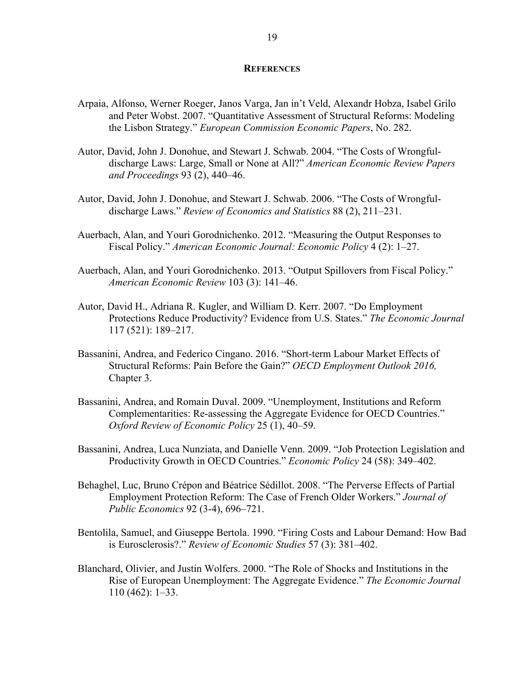#### **REFERENCES**

- Arpaia, Alfonso, Werner Roeger, Janos Varga, Jan in't Veld, Alexandr Hobza, Isabel Grilo and Peter Wobst. 2007. "Quantitative Assessment of Structural Reforms: Modeling the Lisbon Strategy." *European Commission Economic Papers*, No. 282.
- Autor, David, John J. Donohue, and Stewart J. Schwab. 2004. "The Costs of Wrongfuldischarge Laws: Large, Small or None at All?" *American Economic Review Papers and Proceedings* 93 (2), 440–46.
- Autor, David, John J. Donohue, and Stewart J. Schwab. 2006. "The Costs of Wrongfuldischarge Laws." *Review of Economics and Statistics* 88 (2), 211–231.
- Auerbach, Alan, and Youri Gorodnichenko. 2012. "Measuring the Output Responses to Fiscal Policy." *American Economic Journal: Economic Policy* 4 (2): 1–27.
- Auerbach, Alan, and Youri Gorodnichenko. 2013. "Output Spillovers from Fiscal Policy." *American Economic Review* 103 (3): 141–46.
- Autor, David H., Adriana R. Kugler, and William D. Kerr. 2007. "Do Employment Protections Reduce Productivity? Evidence from U.S. States." *The Economic Journal* 117 (521): 189–217.
- Bassanini, Andrea, and Federico Cingano. 2016. "Short-term Labour Market Effects of Structural Reforms: Pain Before the Gain?" *OECD Employment Outlook 2016,* Chapter 3.
- Bassanini, Andrea, and Romain Duval. 2009. "Unemployment, Institutions and Reform Complementarities: Re-assessing the Aggregate Evidence for OECD Countries." *Oxford Review of Economic Policy* 25 (1), 40–59.
- Bassanini, Andrea, Luca Nunziata, and Danielle Venn. 2009. "Job Protection Legislation and Productivity Growth in OECD Countries." *Economic Policy* 24 (58): 349–402.
- Behaghel, Luc, Bruno Crépon and Béatrice Sédillot. 2008. "The Perverse Effects of Partial Employment Protection Reform: The Case of French Older Workers." *Journal of Public Economics* 92 (3-4), 696–721.
- Bentolila, Samuel, and Giuseppe Bertola. 1990. "Firing Costs and Labour Demand: How Bad is Eurosclerosis?." *Review of Economic Studies* 57 (3): 381–402.
- Blanchard, Olivier, and Justin Wolfers. 2000. "The Role of Shocks and Institutions in the Rise of European Unemployment: The Aggregate Evidence." *The Economic Journal* 110 (462): 1–33.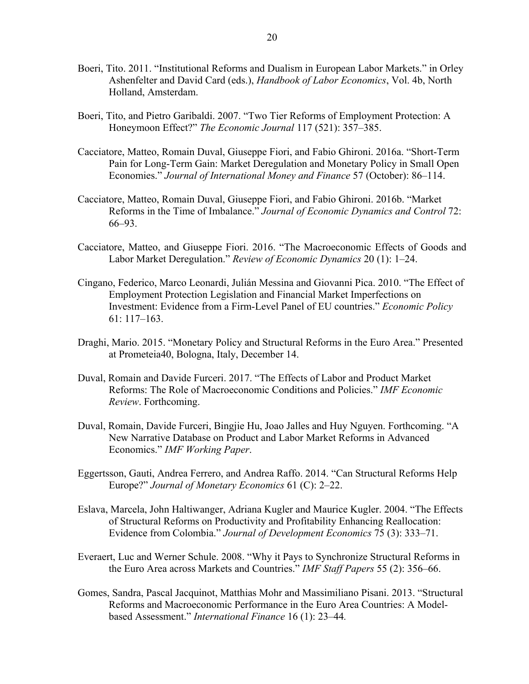- Boeri, Tito. 2011. "Institutional Reforms and Dualism in European Labor Markets." in Orley Ashenfelter and David Card (eds.), *Handbook of Labor Economics*, Vol. 4b, North Holland, Amsterdam.
- Boeri, Tito, and Pietro Garibaldi. 2007. "Two Tier Reforms of Employment Protection: A Honeymoon Effect?" *The Economic Journal* 117 (521): 357–385.
- Cacciatore, Matteo, Romain Duval, Giuseppe Fiori, and Fabio Ghironi. 2016a. "Short-Term Pain for Long-Term Gain: Market Deregulation and Monetary Policy in Small Open Economies." *Journal of International Money and Finance* 57 (October): 86–114.
- Cacciatore, Matteo, Romain Duval, Giuseppe Fiori, and Fabio Ghironi. 2016b. "Market Reforms in the Time of Imbalance." *Journal of Economic Dynamics and Control* 72: 66–93.
- Cacciatore, Matteo, and Giuseppe Fiori. 2016. "The Macroeconomic Effects of Goods and Labor Market Deregulation." *Review of Economic Dynamics* 20 (1): 1–24.
- Cingano, Federico, Marco Leonardi, Julián Messina and Giovanni Pica. 2010. "The Effect of Employment Protection Legislation and Financial Market Imperfections on Investment: Evidence from a Firm-Level Panel of EU countries." *Economic Policy* 61: 117–163.
- Draghi, Mario. 2015. "Monetary Policy and Structural Reforms in the Euro Area." Presented at Prometeia40, Bologna, Italy, December 14.
- Duval, Romain and Davide Furceri. 2017. "The Effects of Labor and Product Market Reforms: The Role of Macroeconomic Conditions and Policies." *IMF Economic Review*. Forthcoming.
- Duval, Romain, Davide Furceri, Bingjie Hu, Joao Jalles and Huy Nguyen. Forthcoming. "A New Narrative Database on Product and Labor Market Reforms in Advanced Economics." *IMF Working Paper*.
- Eggertsson, Gauti, Andrea Ferrero, and Andrea Raffo. 2014. "Can Structural Reforms Help Europe?" *Journal of Monetary Economics* 61 (C): 2–22.
- Eslava, Marcela, John Haltiwanger, Adriana Kugler and Maurice Kugler. 2004. "The Effects of Structural Reforms on Productivity and Profitability Enhancing Reallocation: Evidence from Colombia." *Journal of Development Economics* 75 (3): 333–71.
- Everaert, Luc and Werner Schule. 2008. "Why it Pays to Synchronize Structural Reforms in the Euro Area across Markets and Countries." *IMF Staff Papers* 55 (2): 356–66.
- Gomes, Sandra, Pascal Jacquinot, Matthias Mohr and Massimiliano Pisani. 2013. "Structural Reforms and Macroeconomic Performance in the Euro Area Countries: A Modelbased Assessment." *International Finance* 16 (1): 23–44*.*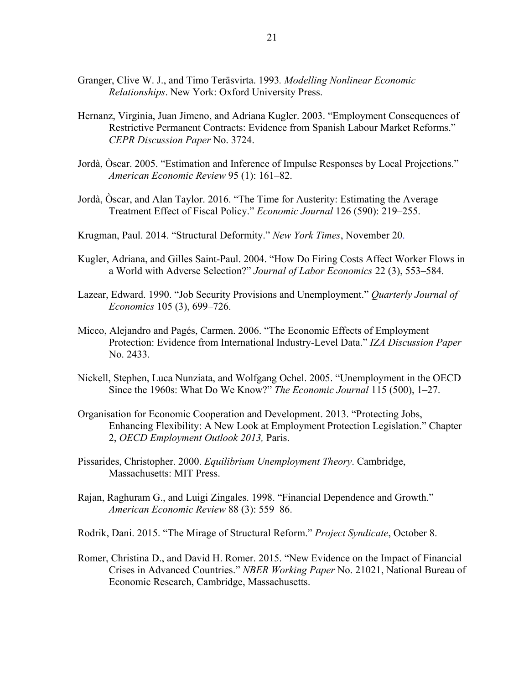- Granger, Clive W. J., and Timo Teräsvirta. 1993*. Modelling Nonlinear Economic Relationships*. New York: Oxford University Press.
- Hernanz, Virginia, Juan Jimeno, and Adriana Kugler. 2003. "Employment Consequences of Restrictive Permanent Contracts: Evidence from Spanish Labour Market Reforms." *CEPR Discussion Paper* No. 3724.
- Jordà, Òscar. 2005. "Estimation and Inference of Impulse Responses by Local Projections." *American Economic Review* 95 (1): 161–82.
- Jordà, Òscar, and Alan Taylor. 2016. "The Time for Austerity: Estimating the Average Treatment Effect of Fiscal Policy." *Economic Journal* 126 (590): 219–255.
- Krugman, Paul. 2014. "Structural Deformity." *New York Times*, November 20.
- Kugler, Adriana, and Gilles Saint-Paul. 2004. "How Do Firing Costs Affect Worker Flows in a World with Adverse Selection?" *Journal of Labor Economics* 22 (3), 553–584.
- Lazear, Edward. 1990. "Job Security Provisions and Unemployment." *Quarterly Journal of Economics* 105 (3), 699–726.
- Micco, Alejandro and Pagés, Carmen. 2006. "The Economic Effects of Employment Protection: Evidence from International Industry-Level Data." *IZA Discussion Paper* No. 2433.
- Nickell, Stephen, Luca Nunziata, and Wolfgang Ochel. 2005. "Unemployment in the OECD Since the 1960s: What Do We Know?" *The Economic Journal* 115 (500), 1–27.
- Organisation for Economic Cooperation and Development. 2013. "Protecting Jobs, Enhancing Flexibility: A New Look at Employment Protection Legislation." Chapter 2, *OECD Employment Outlook 2013,* Paris.
- Pissarides, Christopher. 2000. *Equilibrium Unemployment Theory*. Cambridge, Massachusetts: MIT Press.
- Rajan, Raghuram G., and Luigi Zingales. 1998. "Financial Dependence and Growth." *American Economic Review* 88 (3): 559–86.
- Rodrik, Dani. 2015. "The Mirage of Structural Reform." *Project Syndicate*, October 8.
- Romer, Christina D., and David H. Romer. 2015. "New Evidence on the Impact of Financial Crises in Advanced Countries." *NBER Working Paper* No. 21021, National Bureau of Economic Research, Cambridge, Massachusetts.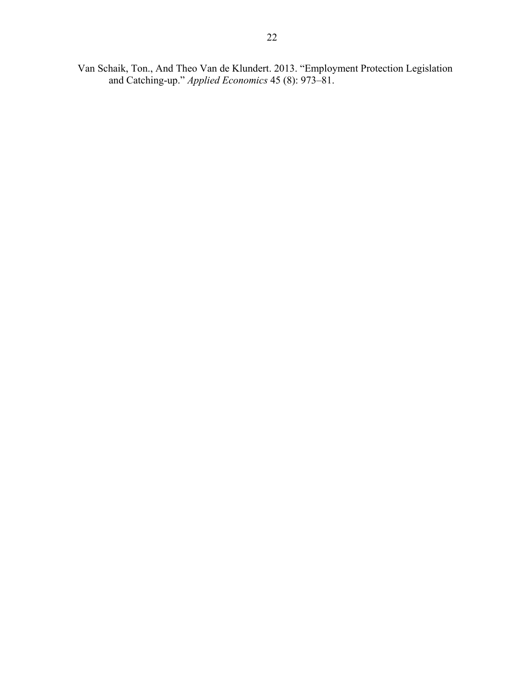Van Schaik, Ton., And Theo Van de Klundert. 2013. "Employment Protection Legislation and Catching-up." *Applied Economics* 45 (8): 973–81.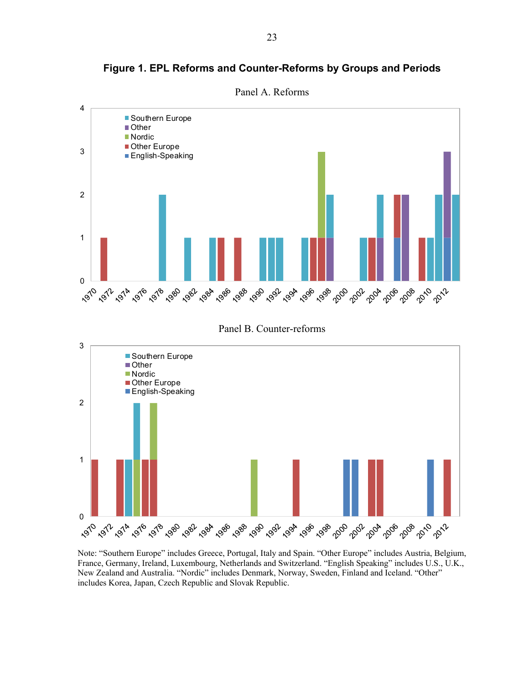

**Figure 1. EPL Reforms and Counter-Reforms by Groups and Periods** 

Panel B. Counter-reforms



Note: "Southern Europe" includes Greece, Portugal, Italy and Spain. "Other Europe" includes Austria, Belgium, France, Germany, Ireland, Luxembourg, Netherlands and Switzerland. "English Speaking" includes U.S., U.K., New Zealand and Australia. "Nordic" includes Denmark, Norway, Sweden, Finland and Iceland. "Other" includes Korea, Japan, Czech Republic and Slovak Republic.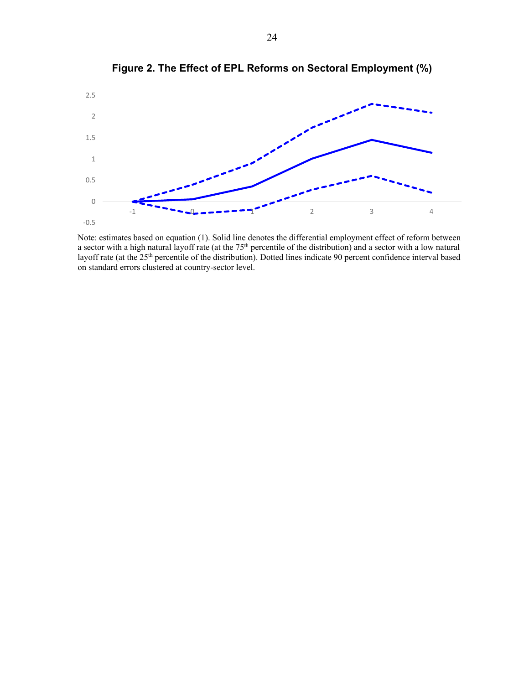

**Figure 2. The Effect of EPL Reforms on Sectoral Employment (%)** 

Note: estimates based on equation (1). Solid line denotes the differential employment effect of reform between a sector with a high natural layoff rate (at the 75<sup>th</sup> percentile of the distribution) and a sector with a low natural layoff rate (at the 25th percentile of the distribution). Dotted lines indicate 90 percent confidence interval based on standard errors clustered at country-sector level.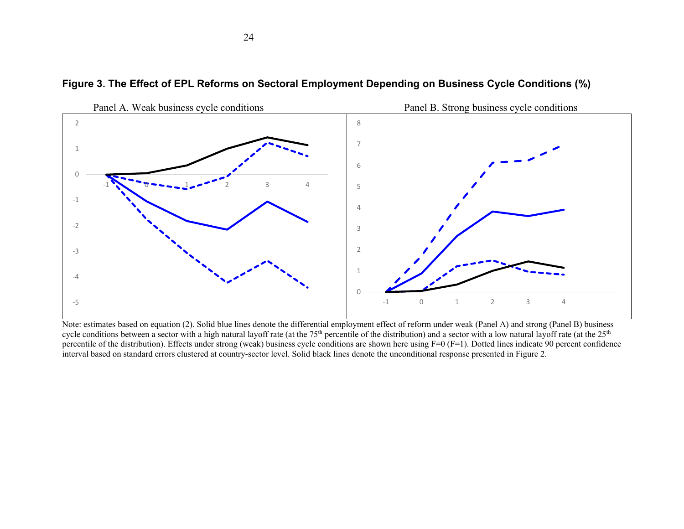

**Figure 3. The Effect of EPL Reforms on Sectoral Employment Depending on Business Cycle Conditions (%)** 

Note: estimates based on equation (2). Solid blue lines denote the differential employment effect of reform under weak (Panel A) and strong (Panel B) business cycle conditions between a sector with a high natural layoff rate (at the  $75<sup>th</sup>$  percentile of the distribution) and a sector with a low natural layoff rate (at the  $25<sup>th</sup>$ percentile of the distribution). Effects under strong (weak) business cycle conditions are shown here using F=0 (F=1). Dotted lines indicate 90 percent confidence interval based on standard errors clustered at country-sector level. Solid black lines denote the unconditional response presented in Figure 2.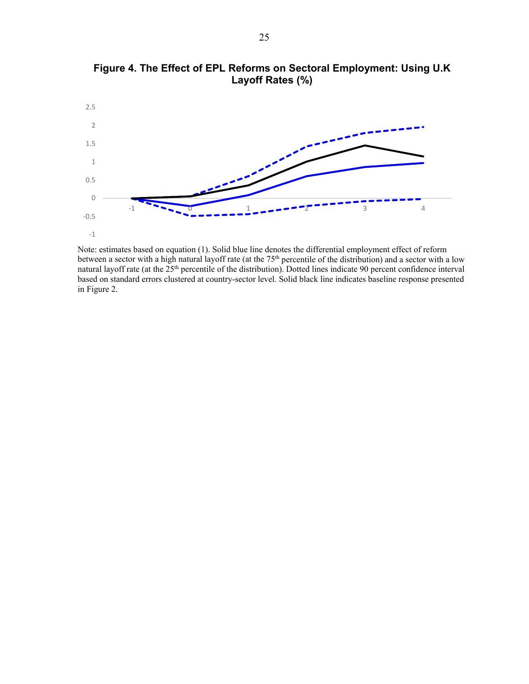

**Figure 4. The Effect of EPL Reforms on Sectoral Employment: Using U.K Layoff Rates (%)**

Note: estimates based on equation (1). Solid blue line denotes the differential employment effect of reform between a sector with a high natural layoff rate (at the  $75<sup>th</sup>$  percentile of the distribution) and a sector with a low natural layoff rate (at the 25<sup>th</sup> percentile of the distribution). Dotted lines indicate 90 percent confidence interval based on standard errors clustered at country-sector level. Solid black line indicates baseline response presented in Figure 2.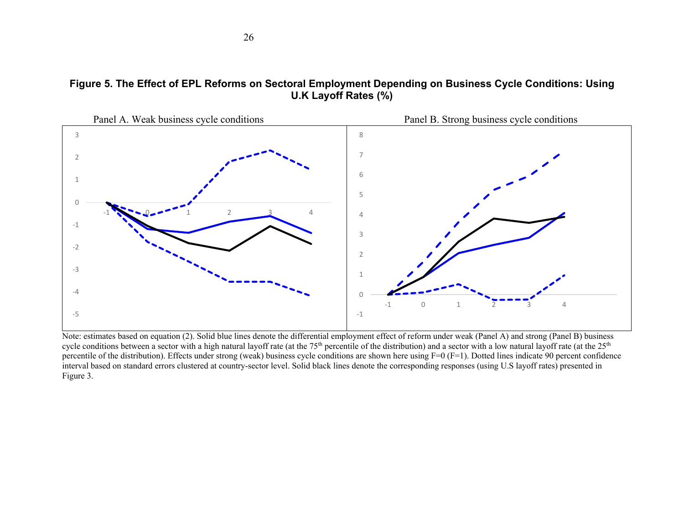



Note: estimates based on equation (2). Solid blue lines denote the differential employment effect of reform under weak (Panel A) and strong (Panel B) business cycle conditions between a sector with a high natural layoff rate (at the  $75<sup>th</sup>$  percentile of the distribution) and a sector with a low natural layoff rate (at the  $25<sup>th</sup>$ percentile of the distribution). Effects under strong (weak) business cycle conditions are shown here using F=0 (F=1). Dotted lines indicate 90 percent confidence interval based on standard errors clustered at country-sector level. Solid black lines denote the corresponding responses (using U.S layoff rates) presented in Figure 3.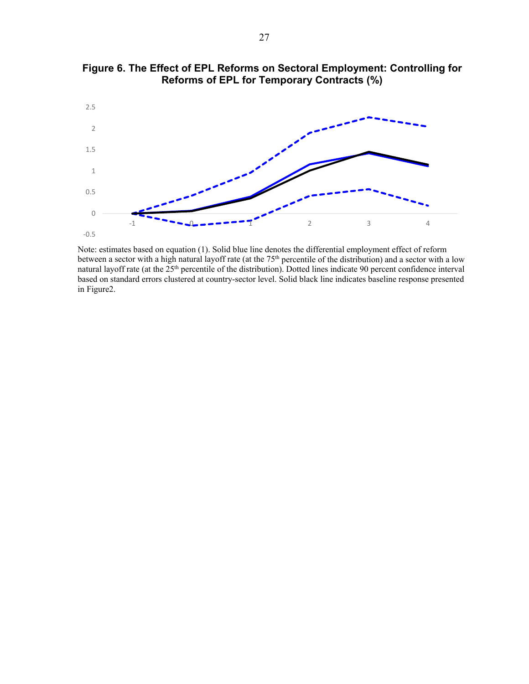

**Figure 6. The Effect of EPL Reforms on Sectoral Employment: Controlling for Reforms of EPL for Temporary Contracts (%)**

Note: estimates based on equation (1). Solid blue line denotes the differential employment effect of reform between a sector with a high natural layoff rate (at the  $75<sup>th</sup>$  percentile of the distribution) and a sector with a low natural layoff rate (at the 25<sup>th</sup> percentile of the distribution). Dotted lines indicate 90 percent confidence interval based on standard errors clustered at country-sector level. Solid black line indicates baseline response presented in Figure2.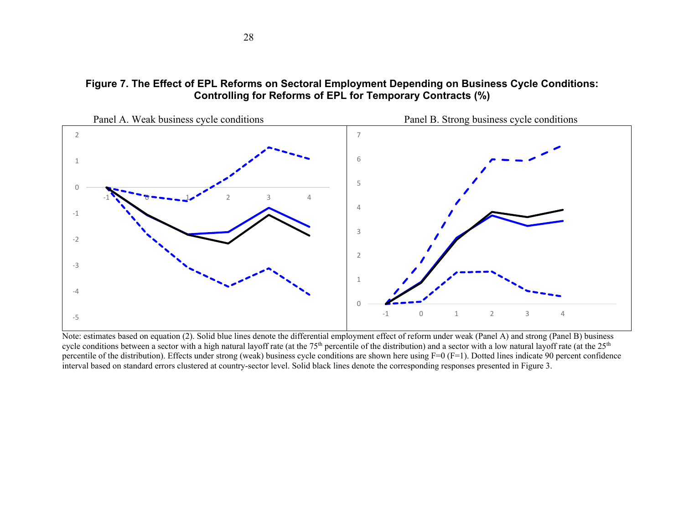# **Figure 7. The Effect of EPL Reforms on Sectoral Employment Depending on Business Cycle Conditions: Controlling for Reforms of EPL for Temporary Contracts (%)**



Note: estimates based on equation (2). Solid blue lines denote the differential employment effect of reform under weak (Panel A) and strong (Panel B) business cycle conditions between a sector with a high natural layoff rate (at the 75<sup>th</sup> percentile of the distribution) and a sector with a low natural layoff rate (at the 25<sup>th</sup> percentile of the distribution). Effects under strong (weak) business cycle conditions are shown here using F=0 (F=1). Dotted lines indicate 90 percent confidence interval based on standard errors clustered at country-sector level. Solid black lines denote the corresponding responses presented in Figure 3.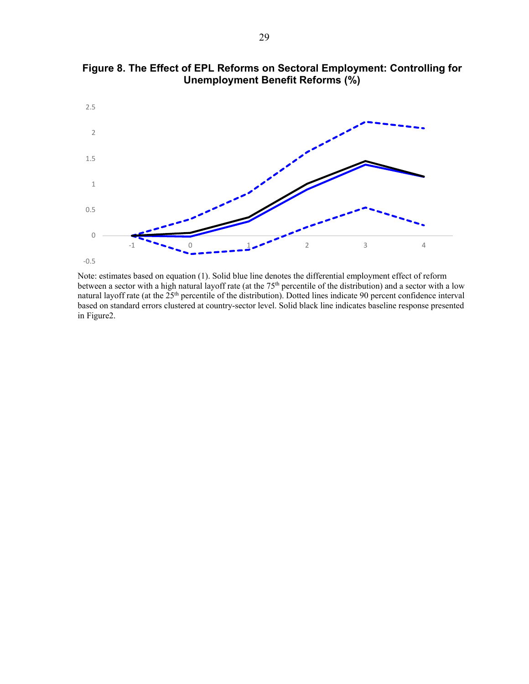

**Figure 8. The Effect of EPL Reforms on Sectoral Employment: Controlling for Unemployment Benefit Reforms (%)** 

Note: estimates based on equation (1). Solid blue line denotes the differential employment effect of reform between a sector with a high natural layoff rate (at the  $75<sup>th</sup>$  percentile of the distribution) and a sector with a low natural layoff rate (at the 25<sup>th</sup> percentile of the distribution). Dotted lines indicate 90 percent confidence interval based on standard errors clustered at country-sector level. Solid black line indicates baseline response presented in Figure2.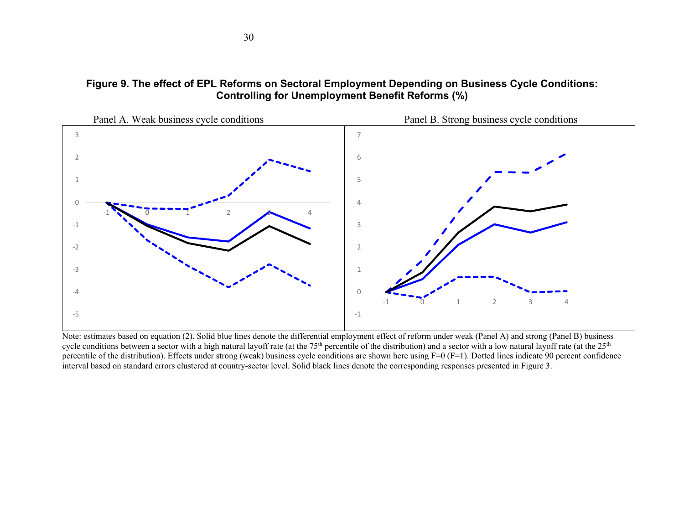# **Figure 9. The effect of EPL Reforms on Sectoral Employment Depending on Business Cycle Conditions: Controlling for Unemployment Benefit Reforms (%)**



Note: estimates based on equation (2). Solid blue lines denote the differential employment effect of reform under weak (Panel A) and strong (Panel B) business cycle conditions between a sector with a high natural layoff rate (at the 75<sup>th</sup> percentile of the distribution) and a sector with a low natural layoff rate (at the 25<sup>th</sup> percentile of the distribution). Effects under strong (weak) business cycle conditions are shown here using F=0 (F=1). Dotted lines indicate 90 percent confidence interval based on standard errors clustered at country-sector level. Solid black lines denote the corresponding responses presented in Figure 3.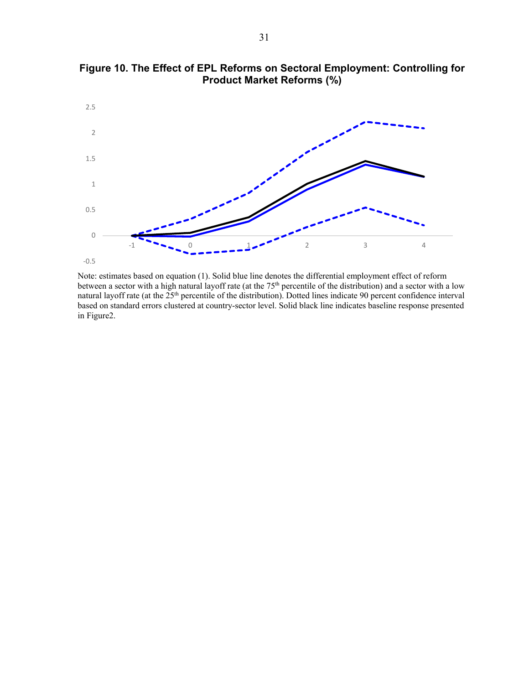

**Figure 10. The Effect of EPL Reforms on Sectoral Employment: Controlling for Product Market Reforms (%)** 

Note: estimates based on equation (1). Solid blue line denotes the differential employment effect of reform between a sector with a high natural layoff rate (at the  $75<sup>th</sup>$  percentile of the distribution) and a sector with a low natural layoff rate (at the 25<sup>th</sup> percentile of the distribution). Dotted lines indicate 90 percent confidence interval based on standard errors clustered at country-sector level. Solid black line indicates baseline response presented in Figure2.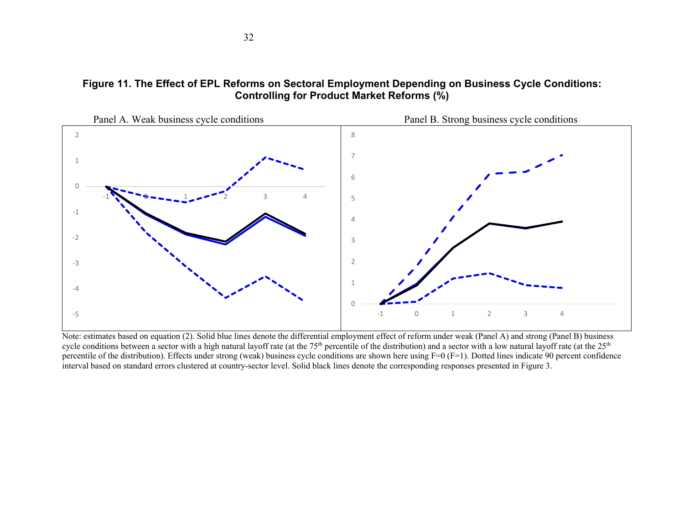# **Figure 11. The Effect of EPL Reforms on Sectoral Employment Depending on Business Cycle Conditions: Controlling for Product Market Reforms (%)**



Note: estimates based on equation (2). Solid blue lines denote the differential employment effect of reform under weak (Panel A) and strong (Panel B) business cycle conditions between a sector with a high natural layoff rate (at the 75<sup>th</sup> percentile of the distribution) and a sector with a low natural layoff rate (at the 25<sup>th</sup>) percentile of the distribution). Effects under strong (weak) business cycle conditions are shown here using F=0 (F=1). Dotted lines indicate 90 percent confidence interval based on standard errors clustered at country-sector level. Solid black lines denote the corresponding responses presented in Figure 3.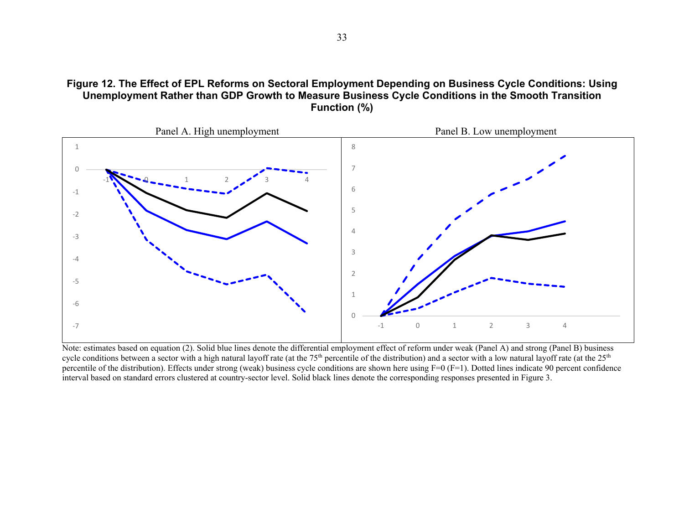



Note: estimates based on equation (2). Solid blue lines denote the differential employment effect of reform under weak (Panel A) and strong (Panel B) business cycle conditions between a sector with a high natural layoff rate (at the  $75<sup>th</sup>$  percentile of the distribution) and a sector with a low natural layoff rate (at the  $25<sup>th</sup>$ percentile of the distribution). Effects under strong (weak) business cycle conditions are shown here using  $F=0$  ( $F=1$ ). Dotted lines indicate 90 percent confidence interval based on standard errors clustered at country-sector level. Solid black lines denote the corresponding responses presented in Figure 3.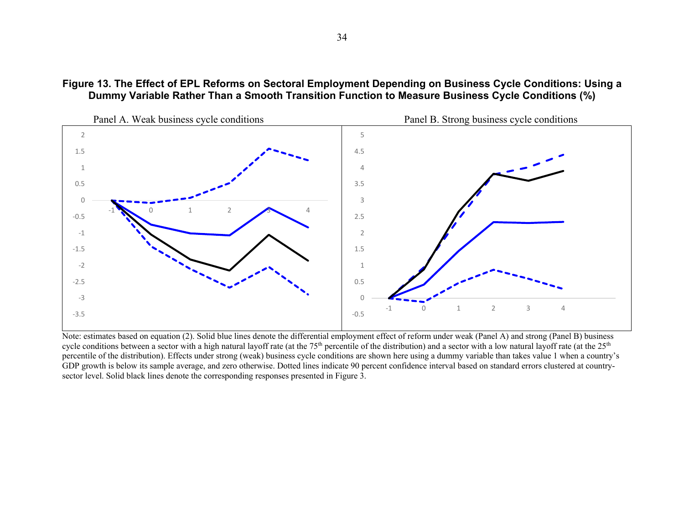



Note: estimates based on equation (2). Solid blue lines denote the differential employment effect of reform under weak (Panel A) and strong (Panel B) business cycle conditions between a sector with a high natural layoff rate (at the  $75<sup>th</sup>$  percentile of the distribution) and a sector with a low natural layoff rate (at the  $25<sup>th</sup>$ percentile of the distribution). Effects under strong (weak) business cycle conditions are shown here using a dummy variable than takes value 1 when a country's GDP growth is below its sample average, and zero otherwise. Dotted lines indicate 90 percent confidence interval based on standard errors clustered at countrysector level. Solid black lines denote the corresponding responses presented in Figure 3.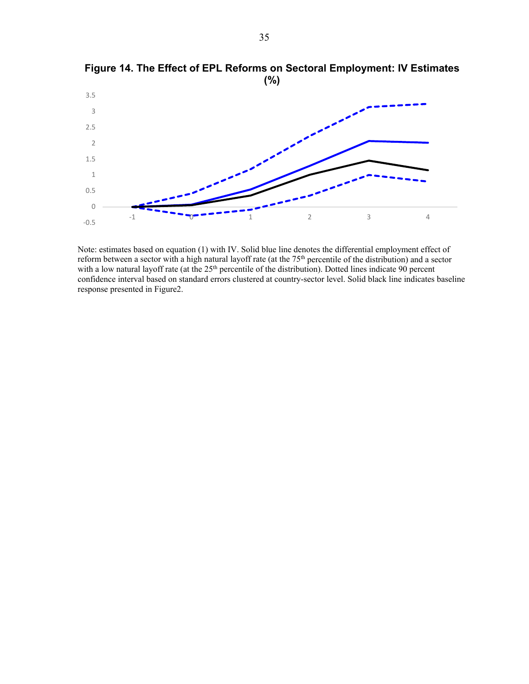

**Figure 14. The Effect of EPL Reforms on Sectoral Employment: IV Estimates (%)** 

Note: estimates based on equation (1) with IV. Solid blue line denotes the differential employment effect of reform between a sector with a high natural layoff rate (at the  $75<sup>th</sup>$  percentile of the distribution) and a sector with a low natural layoff rate (at the 25<sup>th</sup> percentile of the distribution). Dotted lines indicate 90 percent confidence interval based on standard errors clustered at country-sector level. Solid black line indicates baseline response presented in Figure2.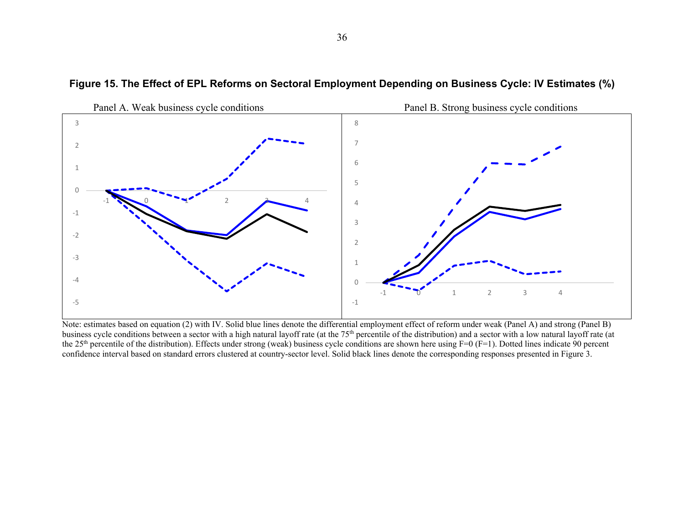

### **Figure 15. The Effect of EPL Reforms on Sectoral Employment Depending on Business Cycle: IV Estimates (%)**

Note: estimates based on equation (2) with IV. Solid blue lines denote the differential employment effect of reform under weak (Panel A) and strong (Panel B) business cycle conditions between a sector with a high natural layoff rate (at the 75<sup>th</sup> percentile of the distribution) and a sector with a low natural layoff rate (at the 25<sup>th</sup> percentile of the distribution). Effects under strong (weak) business cycle conditions are shown here using  $F=0$  ( $F=1$ ). Dotted lines indicate 90 percent confidence interval based on standard errors clustered at country-sector level. Solid black lines denote the corresponding responses presented in Figure 3.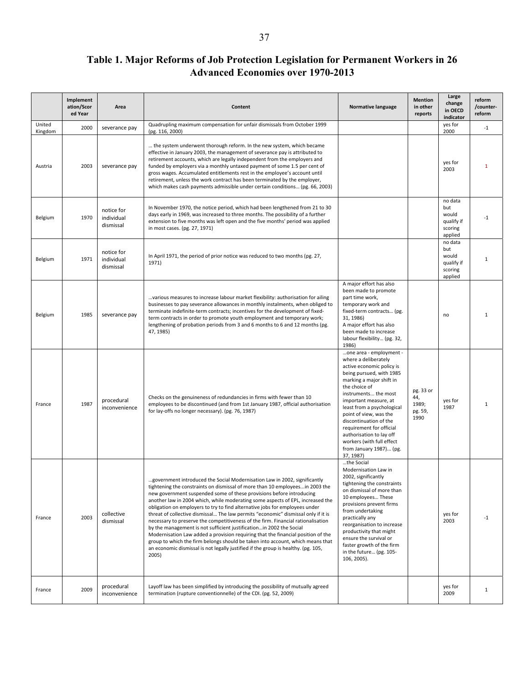# **Table 1. Major Reforms of Job Protection Legislation for Permanent Workers in 26 Advanced Economies over 1970-2013**

|                   | Implement<br>ation/Scor<br>ed Year | Area                                  | Content                                                                                                                                                                                                                                                                                                                                                                                                                                                                                                                                                                                                                                                                                                                                                                                                                                                                                                                 | Normative language                                                                                                                                                                                                                                                                                                                                                                                                    | <b>Mention</b><br>in other<br>reports        | Large<br>change<br>in OECD<br>indicator                     | reform<br>/counter-<br>reform |
|-------------------|------------------------------------|---------------------------------------|-------------------------------------------------------------------------------------------------------------------------------------------------------------------------------------------------------------------------------------------------------------------------------------------------------------------------------------------------------------------------------------------------------------------------------------------------------------------------------------------------------------------------------------------------------------------------------------------------------------------------------------------------------------------------------------------------------------------------------------------------------------------------------------------------------------------------------------------------------------------------------------------------------------------------|-----------------------------------------------------------------------------------------------------------------------------------------------------------------------------------------------------------------------------------------------------------------------------------------------------------------------------------------------------------------------------------------------------------------------|----------------------------------------------|-------------------------------------------------------------|-------------------------------|
| United<br>Kingdom | 2000                               | severance pay                         | Quadrupling maximum compensation for unfair dismissals from October 1999<br>(pg. 116, 2000)                                                                                                                                                                                                                                                                                                                                                                                                                                                                                                                                                                                                                                                                                                                                                                                                                             |                                                                                                                                                                                                                                                                                                                                                                                                                       |                                              | yes for<br>2000                                             | $-1$                          |
| Austria           | 2003                               | severance pay                         | the system underwent thorough reform. In the new system, which became<br>effective in January 2003, the management of severance pay is attributed to<br>retirement accounts, which are legally independent from the employers and<br>funded by employers via a monthly untaxed payment of some 1.5 per cent of<br>gross wages. Accumulated entitlements rest in the employee's account until<br>retirement, unless the work contract has been terminated by the employer,<br>which makes cash payments admissible under certain conditions (pg. 66, 2003)                                                                                                                                                                                                                                                                                                                                                               |                                                                                                                                                                                                                                                                                                                                                                                                                       |                                              | yes for<br>2003                                             | 1                             |
| Belgium           | 1970                               | notice for<br>individual<br>dismissal | In November 1970, the notice period, which had been lengthened from 21 to 30<br>days early in 1969, was increased to three months. The possibility of a further<br>extension to five months was left open and the five months' period was applied<br>in most cases. (pg. 27, 1971)                                                                                                                                                                                                                                                                                                                                                                                                                                                                                                                                                                                                                                      |                                                                                                                                                                                                                                                                                                                                                                                                                       |                                              | no data<br>but<br>would<br>qualify if<br>scoring<br>applied | -1                            |
| Belgium           | 1971                               | notice for<br>individual<br>dismissal | In April 1971, the period of prior notice was reduced to two months (pg. 27,<br>1971)                                                                                                                                                                                                                                                                                                                                                                                                                                                                                                                                                                                                                                                                                                                                                                                                                                   |                                                                                                                                                                                                                                                                                                                                                                                                                       |                                              | no data<br>but<br>would<br>qualify if<br>scoring<br>applied | 1                             |
| Belgium           | 1985                               | severance pay                         | various measures to increase labour market flexibility: authorisation for ailing<br>businesses to pay severance allowances in monthly instalments, when obliged to<br>terminate indefinite-term contracts; incentives for the development of fixed-<br>term contracts in order to promote youth employment and temporary work;<br>lengthening of probation periods from 3 and 6 months to 6 and 12 months (pg.<br>47, 1985)                                                                                                                                                                                                                                                                                                                                                                                                                                                                                             | A major effort has also<br>been made to promote<br>part time work,<br>temporary work and<br>fixed-term contracts (pg.<br>31, 1986)<br>A major effort has also<br>been made to increase<br>labour flexibility (pg. 32,<br>1986)                                                                                                                                                                                        |                                              | no                                                          | $\mathbf{1}$                  |
| France            | 1987                               | procedural<br>inconvenience           | Checks on the genuineness of redundancies in firms with fewer than 10<br>employees to be discontinued (and from 1st January 1987, official authorisation<br>for lay-offs no longer necessary). (pg. 76, 1987)                                                                                                                                                                                                                                                                                                                                                                                                                                                                                                                                                                                                                                                                                                           | one area - employment -<br>where a deliberately<br>active economic policy is<br>being pursued, with 1985<br>marking a major shift in<br>the choice of<br>instruments the most<br>important measure, at<br>least from a psychological<br>point of view, was the<br>discontinuation of the<br>requirement for official<br>authorisation to lay off<br>workers (with full effect<br>from January 1987) (pg.<br>37, 1987) | pg. 33 or<br>44,<br>1989;<br>pg. 59,<br>1990 | yes for<br>1987                                             | 1                             |
| France            | 2003                               | collective<br>dismissal               | government introduced the Social Modernisation Law in 2002, significantly<br>tightening the constraints on dismissal of more than 10 employeesin 2003 the<br>new government suspended some of these provisions before introducing<br>another law in 2004 which, while moderating some aspects of EPL, increased the<br>obligation on employers to try to find alternative jobs for employees under<br>threat of collective dismissal The law permits "economic" dismissal only if it is<br>necessary to preserve the competitiveness of the firm. Financial rationalisation<br>by the management is not sufficient justification in 2002 the Social<br>Modernisation Law added a provision requiring that the financial position of the<br>group to which the firm belongs should be taken into account, which means that<br>an economic dismissal is not legally justified if the group is healthy. (pg. 105,<br>2005) | the Social<br>Modernisation Law in<br>2002, significantly<br>tightening the constraints<br>on dismissal of more than<br>10 employees These<br>provisions prevent firms<br>from undertaking<br>practically any<br>reorganisation to increase<br>productivity that might<br>ensure the survival or<br>faster growth of the firm<br>in the future (pg. 105-<br>106, 2005).                                               |                                              | yes for<br>2003                                             | $-1$                          |
| France            | 2009                               | procedural<br>inconvenience           | Layoff law has been simplified by introducing the possibility of mutually agreed<br>termination (rupture conventionnelle) of the CDI. (pg. 52, 2009)                                                                                                                                                                                                                                                                                                                                                                                                                                                                                                                                                                                                                                                                                                                                                                    |                                                                                                                                                                                                                                                                                                                                                                                                                       |                                              | yes for<br>2009                                             | $\mathbf{1}$                  |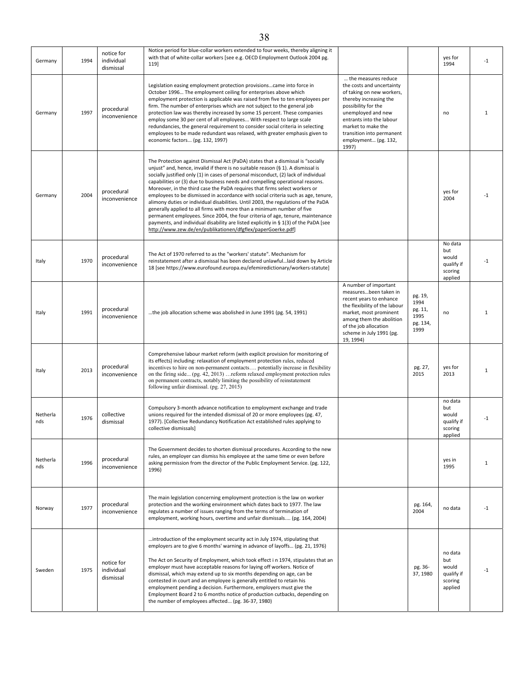| Germany         | 1994 | notice for<br>individual<br>dismissal | Notice period for blue-collar workers extended to four weeks, thereby aligning it<br>with that of white-collar workers [see e.g. OECD Employment Outlook 2004 pg.<br>119]                                                                                                                                                                                                                                                                                                                                                                                                                                                                                                                                                                                                                                                                                                                                                |                                                                                                                                                                                                                                                                      |                                                        | yes for<br>1994                                             | $-1$         |
|-----------------|------|---------------------------------------|--------------------------------------------------------------------------------------------------------------------------------------------------------------------------------------------------------------------------------------------------------------------------------------------------------------------------------------------------------------------------------------------------------------------------------------------------------------------------------------------------------------------------------------------------------------------------------------------------------------------------------------------------------------------------------------------------------------------------------------------------------------------------------------------------------------------------------------------------------------------------------------------------------------------------|----------------------------------------------------------------------------------------------------------------------------------------------------------------------------------------------------------------------------------------------------------------------|--------------------------------------------------------|-------------------------------------------------------------|--------------|
| Germany         | 1997 | procedural<br>inconvenience           | Legislation easing employment protection provisionscame into force in<br>October 1996 The employment ceiling for enterprises above which<br>employment protection is applicable was raised from five to ten employees per<br>firm. The number of enterprises which are not subject to the general job<br>protection law was thereby increased by some 15 percent. These companies<br>employ some 30 per cent of all employees With respect to large scale<br>redundancies, the general requirement to consider social criteria in selecting<br>employees to be made redundant was relaxed, with greater emphasis given to<br>economic factors (pg. 132, 1997)                                                                                                                                                                                                                                                            | the measures reduce<br>the costs and uncertainty<br>of taking on new workers,<br>thereby increasing the<br>possibility for the<br>unemployed and new<br>entrants into the labour<br>market to make the<br>transition into permanent<br>employment (pg. 132,<br>1997) |                                                        | no                                                          | 1            |
| Germany         | 2004 | procedural<br>inconvenience           | The Protection against Dismissal Act (PaDA) states that a dismissal is "socially<br>unjust" and, hence, invalid if there is no suitable reason (§ 1). A dismissal is<br>socially justified only (1) in cases of personal misconduct, (2) lack of individual<br>capabilities or (3) due to business needs and compelling operational reasons.<br>Moreover, in the third case the PaDA requires that firms select workers or<br>employees to be dismissed in accordance with social criteria such as age, tenure,<br>alimony duties or individual disabilities. Until 2003, the regulations of the PaDA<br>generally applied to all firms with more than a minimum number of five<br>permanent employees. Since 2004, the four criteria of age, tenure, maintenance<br>payments, and individual disability are listed explicitly in § 1(3) of the PaDA [see<br>http://www.zew.de/en/publikationen/dfgflex/paperGoerke.pdf] |                                                                                                                                                                                                                                                                      |                                                        | yes for<br>2004                                             | -1           |
| Italy           | 1970 | procedural<br>inconvenience           | The Act of 1970 referred to as the "workers' statute". Mechanism for<br>reinstatement after a dismissal has been declared unlawfullaid down by Article<br>18 [see https://www.eurofound.europa.eu/efemiredictionary/workers-statute]                                                                                                                                                                                                                                                                                                                                                                                                                                                                                                                                                                                                                                                                                     |                                                                                                                                                                                                                                                                      |                                                        | No data<br>but<br>would<br>qualify if<br>scoring<br>applied | -1           |
| Italy           | 1991 | procedural<br>inconvenience           | the job allocation scheme was abolished in June 1991 (pg. 54, 1991)                                                                                                                                                                                                                                                                                                                                                                                                                                                                                                                                                                                                                                                                                                                                                                                                                                                      | A number of important<br>measuresbeen taken in<br>recent years to enhance<br>the flexibility of the labour<br>market, most prominent<br>among them the abolition<br>of the job allocation<br>scheme in July 1991 (pg.<br>19, 1994)                                   | pg. 19,<br>1994<br>pg. 11,<br>1995<br>pg. 134,<br>1999 | no                                                          | $\mathbf{1}$ |
| Italy           | 2013 | procedural<br>inconvenience           | Comprehensive labour market reform (with explicit provision for monitoring of<br>its effects) including: relaxation of employment protection rules, reduced<br>incentives to hire on non-permanent contacts potentially increase in flexibility<br>on the firing side (pg. 42, 2013)  reform relaxed employment protection rules<br>on permanent contracts, notably limiting the possibility of reinstatement<br>following unfair dismissal. (pg. 27, 2015)                                                                                                                                                                                                                                                                                                                                                                                                                                                              |                                                                                                                                                                                                                                                                      | pg. 27,<br>2015                                        | yes for<br>2013                                             | $\mathbf{1}$ |
| Netherla<br>nds | 1976 | collective<br>dismissal               | Compulsory 3-month advance notification to employment exchange and trade<br>unions required for the intended dismissal of 20 or more employees (pg. 47,<br>1977). [Collective Redundancy Notification Act established rules applying to<br>collective dismissals]                                                                                                                                                                                                                                                                                                                                                                                                                                                                                                                                                                                                                                                        |                                                                                                                                                                                                                                                                      |                                                        | no data<br>but<br>would<br>qualify if<br>scoring<br>applied | -1           |
| Netherla<br>nds | 1996 | procedural<br>inconvenience           | The Government decides to shorten dismissal procedures. According to the new<br>rules, an employer can dismiss his employee at the same time or even before<br>asking permission from the director of the Public Employment Service. (pg. 122,<br>1996)                                                                                                                                                                                                                                                                                                                                                                                                                                                                                                                                                                                                                                                                  |                                                                                                                                                                                                                                                                      |                                                        | yes in<br>1995                                              | 1            |
| Norway          | 1977 | procedural<br>inconvenience           | The main legislation concerning employment protection is the law on worker<br>protection and the working environment which dates back to 1977. The law<br>regulates a number of issues ranging from the terms of termination of<br>employment, working hours, overtime and unfair dismissals (pg. 164, 2004)                                                                                                                                                                                                                                                                                                                                                                                                                                                                                                                                                                                                             |                                                                                                                                                                                                                                                                      | pg. 164,<br>2004                                       | no data                                                     | $-1$         |
| Sweden          | 1975 | notice for<br>individual<br>dismissal | introduction of the employment security act in July 1974, stipulating that<br>employers are to give 6 months' warning in advance of layoffs (pg. 21, 1976)<br>The Act on Security of Employment, which took effect in 1974, stipulates that an<br>employer must have acceptable reasons for laying off workers. Notice of<br>dismissal, which may extend up to six months depending on age, can be<br>contested in court and an employee is generally entitled to retain his<br>employment pending a decision. Furthermore, employers must give the<br>Employment Board 2 to 6 months notice of production cutbacks, depending on<br>the number of employees affected (pg. 36-37, 1980)                                                                                                                                                                                                                                  |                                                                                                                                                                                                                                                                      | pg. 36-<br>37, 1980                                    | no data<br>but<br>would<br>qualify if<br>scoring<br>applied | $-1$         |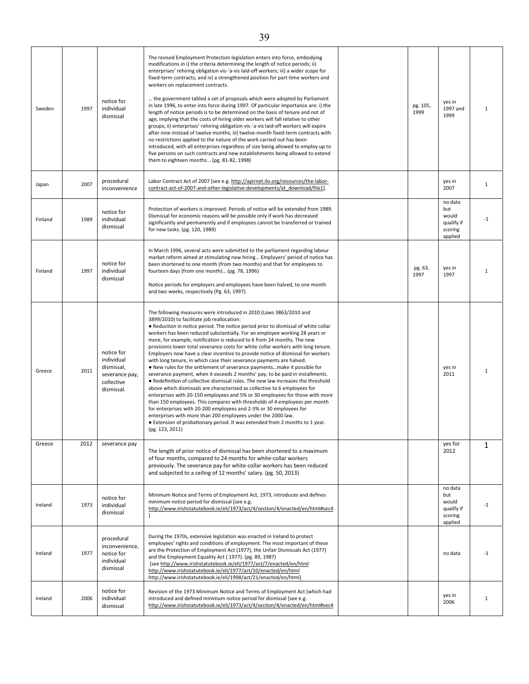| Sweden  | 1997 | notice for<br>individual<br>dismissal                                                | The revised Employment Protection legislation enters into force, embodying<br>modifications in i) the criteria determining the length of notice periods; ii)<br>enterprises' rehiring obligation vis-`a-vis laid-off workers; iii) a wider scope for<br>fixed-term contracts; and iv) a strengthened position for part-time workers and<br>workers on replacement contracts.<br>the government tabled a set of proposals which were adopted by Parliament<br>in late 1996, to enter into force during 1997. Of particular importance are: i) the<br>length of notice periods is to be determined on the basis of tenure and not of<br>age, implying that the costs of hiring older workers will fall relative to other<br>groups; ii) enterprises' rehiring obligation vis-`a-vis laid-off workers will expire<br>after nine instead of twelve months; iii) twelve-month fixed-term contracts with<br>no restrictions applied to the nature of the work carried out has been<br>introduced, with all enterprises regardless of size being allowed to employ up to<br>five persons on such contracts and new establishments being allowed to extend<br>them to eighteen months (pg. 81-82, 1998)                                                                                                                                                        | pg. 105,<br>1999 | yes in<br>1997 and<br>1999                                  | $\mathbf{1}$ |
|---------|------|--------------------------------------------------------------------------------------|--------------------------------------------------------------------------------------------------------------------------------------------------------------------------------------------------------------------------------------------------------------------------------------------------------------------------------------------------------------------------------------------------------------------------------------------------------------------------------------------------------------------------------------------------------------------------------------------------------------------------------------------------------------------------------------------------------------------------------------------------------------------------------------------------------------------------------------------------------------------------------------------------------------------------------------------------------------------------------------------------------------------------------------------------------------------------------------------------------------------------------------------------------------------------------------------------------------------------------------------------------------------------------------------------------------------------------------------------------|------------------|-------------------------------------------------------------|--------------|
| Japan   | 2007 | procedural<br>inconvenience                                                          | Labor Contract Act of 2007 [see e.g. http://apirnet.ilo.org/resources/the-labor-<br>contract-act-of-2007-and-other-legislative-developments/at download/file1].                                                                                                                                                                                                                                                                                                                                                                                                                                                                                                                                                                                                                                                                                                                                                                                                                                                                                                                                                                                                                                                                                                                                                                                        |                  | yes in<br>2007                                              | $\mathbf{1}$ |
| Finland | 1989 | notice for<br>individual<br>dismissal                                                | Protection of workers is improved. Periods of notice will be extended from 1989.<br>Dismissal for economic reasons will be possible only if work has decreased<br>significantly and permanently and if employees cannot be transferred or trained<br>for new tasks. (pg. 120, 1989)                                                                                                                                                                                                                                                                                                                                                                                                                                                                                                                                                                                                                                                                                                                                                                                                                                                                                                                                                                                                                                                                    |                  | no data<br>but<br>would<br>qualify if<br>scoring<br>applied | $-1$         |
| Finland | 1997 | notice for<br>individual<br>dismissal                                                | In March 1996, several acts were submitted to the parliament regarding labour<br>market reform aimed at stimulating new hiring Employers' period of notice has<br>been shortened to one month (from two months) and that for employees to<br>fourteen days (from one month) (pg. 78, 1996)<br>Notice periods for employers and employees have been halved, to one month<br>and two weeks, respectively (Pg. 63, 1997).                                                                                                                                                                                                                                                                                                                                                                                                                                                                                                                                                                                                                                                                                                                                                                                                                                                                                                                                 | pg. 63,<br>1997  | yes in<br>1997                                              | $\mathbf{1}$ |
| Greece  | 2011 | notice for<br>individual<br>dismissal,<br>severance pay,<br>collective<br>dismissal. | The following measures were introduced in 2010 (Laws 3863/2010 and<br>3899/2010) to facilitate job reallocation:<br>• Reduction in notice period. The notice period prior to dismissal of white collar<br>workers has been reduced substantially. For an employee working 28 years or<br>more, for example, notification is reduced to 6 from 24 months. The new<br>provisions lower total severance costs for white collar workers with long tenure.<br>Employers now have a clear incentive to provide notice of dismissal for workers<br>with long tenure, in which case their severance payments are halved.<br>. New rules for the settlement of severance paymentsmake it possible for<br>severance payment, when it exceeds 2 months' pay, to be paid in installments.<br>. Redefinition of collective dismissal rules. The new law increases the threshold<br>above which dismissals are characterised as collective to 6 employees for<br>enterprises with 20-150 employees and 5% or 30 employees for those with more<br>than 150 employees. This compares with thresholds of 4 employees per month<br>for enterprises with 20-200 employees and 2-3% or 30 employees for<br>enterprises with more than 200 employees under the 2000 law.<br>• Extension of probationary period. It was extended from 2 months to 1 year.<br>(pg. 123, 2011) |                  | yes in<br>2011                                              | $\mathbf{1}$ |
| Greece  | 2012 | severance pay                                                                        | The length of prior notice of dismissal has been shortened to a maximum<br>of four months, compared to 24 months for white-collar workers<br>previously. The severance pay for white-collar workers has been reduced<br>and subjected to a ceiling of 12 months' salary. (pg. 50, 2013)                                                                                                                                                                                                                                                                                                                                                                                                                                                                                                                                                                                                                                                                                                                                                                                                                                                                                                                                                                                                                                                                |                  | yes for<br>2012                                             | 1            |
| Ireland | 1973 | notice for<br>individual<br>dismissal                                                | Minimum Notice and Terms of Employment Act, 1973, introduces and defines<br>minimum notice period for dismissal [see e.g.<br>http://www.irishstatutebook.ie/eli/1973/act/4/section/4/enacted/en/html#sec4                                                                                                                                                                                                                                                                                                                                                                                                                                                                                                                                                                                                                                                                                                                                                                                                                                                                                                                                                                                                                                                                                                                                              |                  | no data<br>but<br>would<br>qualify if<br>scoring<br>applied | $-1$         |
| Ireland | 1977 | procedural<br>inconvenience,<br>notice for<br>individual<br>dismissal                | During the 1970s, extensive legislation was enacted in Ireland to protect<br>employees' rights and conditions of employment. The most important of these<br>are the Protection of Employment Act (1977), the Unfair Dismissals Act (1977)<br>and the Employment Equality Act (1977). (pg. 89, 1987)<br>[see http://www.irishstatutebook.ie/eli/1977/act/7/enacted/en/html<br>http://www.irishstatutebook.ie/eli/1977/act/10/enacted/en/html<br>http://www.irishstatutebook.ie/eli/1998/act/21/enacted/en/html]                                                                                                                                                                                                                                                                                                                                                                                                                                                                                                                                                                                                                                                                                                                                                                                                                                         |                  | no data                                                     | $-1$         |
| Ireland | 2006 | notice for<br>individual<br>dismissal                                                | Revision of the 1973 Minimum Notice and Terms of Employment Act (which had<br>introduced and defined minimum notice period for dismissal [see e.g.<br>http://www.irishstatutebook.ie/eli/1973/act/4/section/4/enacted/en/html#sec4                                                                                                                                                                                                                                                                                                                                                                                                                                                                                                                                                                                                                                                                                                                                                                                                                                                                                                                                                                                                                                                                                                                     |                  | yes in<br>2006                                              | $\mathbf{1}$ |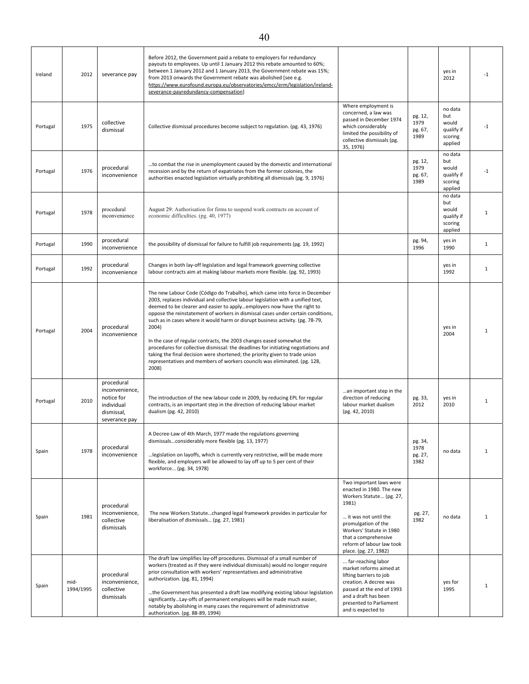| Ireland  | 2012              | severance pay                                                                           | Before 2012, the Government paid a rebate to employers for redundancy<br>payouts to employees. Up until 1 January 2012 this rebate amounted to 60%;<br>between 1 January 2012 and 1 January 2013, the Government rebate was 15%;<br>from 2013 onwards the Government rebate was abolished [see e.g.<br>https://www.eurofound.europa.eu/observatories/emcc/erm/legislation/ireland-<br>severance-payredundancy-compensation]                                                                                                                                                                                                                                                                                                                                   |                                                                                                                                                                                                                                                   |                                    | yes in<br>2012                                              | $-1$         |
|----------|-------------------|-----------------------------------------------------------------------------------------|---------------------------------------------------------------------------------------------------------------------------------------------------------------------------------------------------------------------------------------------------------------------------------------------------------------------------------------------------------------------------------------------------------------------------------------------------------------------------------------------------------------------------------------------------------------------------------------------------------------------------------------------------------------------------------------------------------------------------------------------------------------|---------------------------------------------------------------------------------------------------------------------------------------------------------------------------------------------------------------------------------------------------|------------------------------------|-------------------------------------------------------------|--------------|
| Portugal | 1975              | collective<br>dismissal                                                                 | Collective dismissal procedures become subject to regulation. (pg. 43, 1976)                                                                                                                                                                                                                                                                                                                                                                                                                                                                                                                                                                                                                                                                                  | Where employment is<br>concerned, a law was<br>passed in December 1974<br>which considerably<br>limited the possibility of<br>collective dismissals (pg.<br>35, 1976)                                                                             | pg. 12,<br>1979<br>pg. 67,<br>1989 | no data<br>but<br>would<br>qualify if<br>scoring<br>applied | -1           |
| Portugal | 1976              | procedural<br>inconvenience                                                             | to combat the rise in unemployment caused by the domestic and international<br>recession and by the return of expatriates from the former colonies, the<br>authorities enacted legislation virtually prohibiting all dismissals (pg. 9, 1976)                                                                                                                                                                                                                                                                                                                                                                                                                                                                                                                 |                                                                                                                                                                                                                                                   | pg. 12,<br>1979<br>pg. 67,<br>1989 | no data<br>but<br>would<br>qualify if<br>scoring<br>applied | -1           |
| Portugal | 1978              | procedural<br>inconvenience                                                             | August 29: Authorisation for firms to suspend work contracts on account of<br>economic difficulties. (pg. 40, 1977)                                                                                                                                                                                                                                                                                                                                                                                                                                                                                                                                                                                                                                           |                                                                                                                                                                                                                                                   |                                    | no data<br>but<br>would<br>qualify if<br>scoring<br>applied | 1            |
| Portugal | 1990              | procedural<br>inconvenience                                                             | the possibility of dismissal for failure to fulfill job requirements (pg. 19, 1992)                                                                                                                                                                                                                                                                                                                                                                                                                                                                                                                                                                                                                                                                           |                                                                                                                                                                                                                                                   | pg. 94,<br>1996                    | yes in<br>1990                                              | $\mathbf{1}$ |
| Portugal | 1992              | procedural<br>inconvenience                                                             | Changes in both lay-off legislation and legal framework governing collective<br>labour contracts aim at making labour markets more flexible. (pg. 92, 1993)                                                                                                                                                                                                                                                                                                                                                                                                                                                                                                                                                                                                   |                                                                                                                                                                                                                                                   |                                    | yes in<br>1992                                              | $\mathbf{1}$ |
| Portugal | 2004              | procedural<br>inconvenience                                                             | The new Labour Code (Código do Trabalho), which came into force in December<br>2003, replaces individual and collective labour legislation with a unified text,<br>deemed to be clearer and easier to applyemployers now have the right to<br>oppose the reinstatement of workers in dismissal cases under certain conditions,<br>such as in cases where it would harm or disrupt business activity. (pg. 78-79,<br>2004)<br>In the case of regular contracts, the 2003 changes eased somewhat the<br>procedures for collective dismissal: the deadlines for initiating negotiations and<br>taking the final decision were shortened; the priority given to trade union<br>representatives and members of workers councils was eliminated. (pg. 128,<br>2008) |                                                                                                                                                                                                                                                   |                                    | yes in<br>2004                                              | $\mathbf{1}$ |
| Portugal | 2010              | procedural<br>inconvenience,<br>notice for<br>individual<br>dismissal,<br>severance pay | The introduction of the new labour code in 2009, by reducing EPL for regular<br>contracts, is an important step in the direction of reducing labour market<br>dualism (pg. 42, 2010)                                                                                                                                                                                                                                                                                                                                                                                                                                                                                                                                                                          | an important step in the<br>direction of reducing<br>labour market dualism<br>(pg. 42, 2010)                                                                                                                                                      | pg. 33,<br>2012                    | yes in<br>2010                                              | $\mathbf{1}$ |
| Spain    | 1978              | procedural<br>inconvenience                                                             | A Decree-Law of 4th March, 1977 made the regulations governing<br>dismissalsconsiderably more flexible (pg. 13, 1977)<br>legislation on layoffs, which is currently very restrictive, will be made more<br>flexible, and employers will be allowed to lay off up to 5 per cent of their<br>workforce (pg. 34, 1978)                                                                                                                                                                                                                                                                                                                                                                                                                                           |                                                                                                                                                                                                                                                   | pg. 34,<br>1978<br>pg. 27,<br>1982 | no data                                                     | $\mathbf{1}$ |
| Spain    | 1981              | procedural<br>inconvenience,<br>collective<br>dismissals                                | The new Workers Statutechanged legal framework provides in particular for<br>liberalisation of dismissals (pg. 27, 1981)<br>The draft law simplifies lay-off procedures. Dismissal of a small number of                                                                                                                                                                                                                                                                                                                                                                                                                                                                                                                                                       | Two important laws were<br>enacted in 1980. The new<br>Workers Statute (pg. 27,<br>1981)<br>it was not until the<br>promulgation of the<br>Workers' Statute in 1980<br>that a comprehensive<br>reform of labour law took<br>place. (pg. 27, 1982) | pg. 27,<br>1982                    | no data                                                     | 1            |
| Spain    | mid-<br>1994/1995 | procedural<br>inconvenience,<br>collective<br>dismissals                                | workers (treated as if they were individual dismissals) would no longer require<br>prior consultation with workers' representatives and administrative<br>authorization. (pg. 81, 1994)<br>the Government has presented a draft law modifying existing labour legislation<br>significantlyLay-offs of permanent employees will be made much easier,<br>notably by abolishing in many cases the requirement of administrative<br>authorization. (pg. 88-89, 1994)                                                                                                                                                                                                                                                                                              | far-reaching labor<br>market reforms aimed at<br>lifting barriers to job<br>creation. A decree was<br>passed at the end of 1993<br>and a draft has been<br>presented to Parliament<br>and is expected to                                          |                                    | yes for<br>1995                                             | 1            |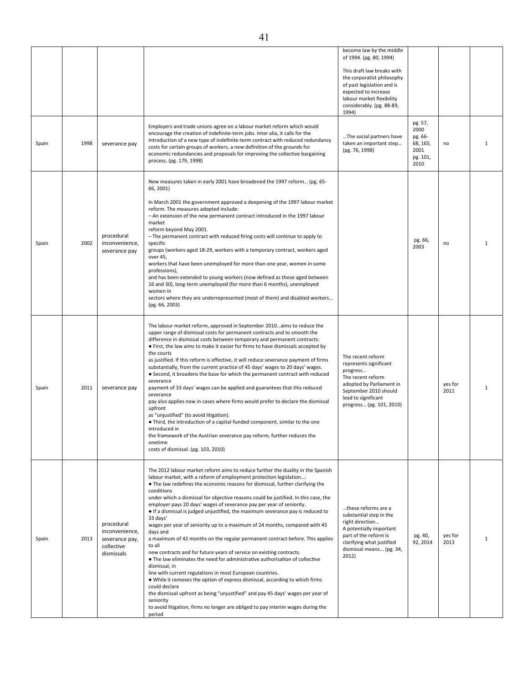| Spain | 1998 | severance pay                                                              | Employers and trade unions agree on a labour market reform which would<br>encourage the creation of indefinite-term jobs. Inter alia, it calls for the<br>introduction of a new type of indefinite-term contract with reduced redundancy<br>costs for certain groups of workers, a new definition of the grounds for<br>economic redundancies and proposals for improving the collective bargaining<br>process. (pg. 179, 1998)                                                                                                                                                                                                                                                                                                                                                                                                                                                                                                                                                                                                                                                                                                                                                                                                               | become law by the middle<br>of 1994. (pg. 80, 1994)<br>This draft law breaks with<br>the corporatist philosophy<br>of past legislation and is<br>expected to increase<br>labour market flexibility<br>considerably. (pg. 88-89,<br>1994)<br>The social partners have<br>taken an important step<br>(pg. 76, 1998) | pg. 57,<br>2000<br>pg. 66-<br>68, 165,<br>2001<br>pg. 101,<br>2010 | no              | $\mathbf{1}$ |
|-------|------|----------------------------------------------------------------------------|-----------------------------------------------------------------------------------------------------------------------------------------------------------------------------------------------------------------------------------------------------------------------------------------------------------------------------------------------------------------------------------------------------------------------------------------------------------------------------------------------------------------------------------------------------------------------------------------------------------------------------------------------------------------------------------------------------------------------------------------------------------------------------------------------------------------------------------------------------------------------------------------------------------------------------------------------------------------------------------------------------------------------------------------------------------------------------------------------------------------------------------------------------------------------------------------------------------------------------------------------|-------------------------------------------------------------------------------------------------------------------------------------------------------------------------------------------------------------------------------------------------------------------------------------------------------------------|--------------------------------------------------------------------|-----------------|--------------|
| Spain | 2002 | procedural<br>inconvenience,<br>severance pay                              | New measures taken in early 2001 have broadened the 1997 reform (pg. 65-<br>66, 2001)<br>In March 2001 the government approved a deepening of the 1997 labour market<br>reform. The measures adopted include:<br>- An extension of the new permanent contract introduced in the 1997 labour<br>market<br>reform beyond May 2001.<br>- The permanent contract with reduced firing costs will continue to apply to<br>specific<br>groups (workers aged 18-29, workers with a temporary contract, workers aged<br>over 45,<br>workers that have been unemployed for more than one year, women in some<br>professions),<br>and has been extended to young workers (now defined as those aged between<br>16 and 30), long-term unemployed (for more than 6 months), unemployed<br>women in<br>sectors where they are underrepresented (most of them) and disabled workers<br>(pg. 66, 2003)                                                                                                                                                                                                                                                                                                                                                        |                                                                                                                                                                                                                                                                                                                   | pg. 66,<br>2003                                                    | no              | $\mathbf{1}$ |
| Spain | 2011 | severance pay                                                              | The labour market reform, approved in September 2010aims to reduce the<br>upper range of dismissal costs for permanent contracts and to smooth the<br>difference in dismissal costs between temporary and permanent contracts:<br>• First, the law aims to make it easier for firms to have dismissals accepted by<br>the courts<br>as justified. If this reform is effective, it will reduce severance payment of firms<br>substantially, from the current practice of 45 days' wages to 20 days' wages.<br>• Second, it broadens the base for which the permanent contract with reduced<br>severance<br>payment of 33 days' wages can be applied and guarantees that this reduced<br>severance<br>pay also applies now in cases where firms would prefer to declare the dismissal<br>upfront<br>as "unjustified" (to avoid litigation).<br>. Third, the introduction of a capital-funded component, similar to the one<br>introduced in<br>the framework of the Austrian severance pay reform, further reduces the<br>onetime<br>costs of dismissal. (pg. 103, 2010)                                                                                                                                                                        | The recent reform<br>represents significant<br>progress<br>The recent reform<br>adopted by Parliament in<br>September 2010 should<br>lead to significant<br>progress (pg. 101, 2010)                                                                                                                              |                                                                    | yes for<br>2011 | $\mathbf{1}$ |
| Spain | 2013 | procedural<br>inconvenience.<br>severance pay,<br>collective<br>dismissals | The 2012 labour market reform aims to reduce further the duality in the Spanish<br>labour market, with a reform of employment protection legislation:<br>• The law redefines the economic reasons for dismissal, further clarifying the<br>conditions<br>under which a dismissal for objective reasons could be justified. In this case, the<br>employer pays 20 days' wages of severance pay per year of seniority.<br>• If a dismissal is judged unjustified, the maximum severance pay is reduced to<br>33 days'<br>wages per year of seniority up to a maximum of 24 months, compared with 45<br>days and<br>a maximum of 42 months on the regular permanent contract before. This applies<br>to all<br>new contracts and for future years of service on existing contracts.<br>. The law eliminates the need for administrative authorisation of collective<br>dismissal, in<br>line with current regulations in most European countries.<br>. While it removes the option of express dismissal, according to which firms<br>could declare<br>the dismissal upfront as being "unjustified" and pay 45 days' wages per year of<br>seniority<br>to avoid litigation, firms no longer are obliged to pay interim wages during the<br>period | these reforms are a<br>substantial step in the<br>right direction<br>A potentially important<br>part of the reform is<br>clarifying what justified<br>dismissal means (pg. 34,<br>2012)                                                                                                                           | pg. 40,<br>92, 2014                                                | yes for<br>2013 | $\mathbf{1}$ |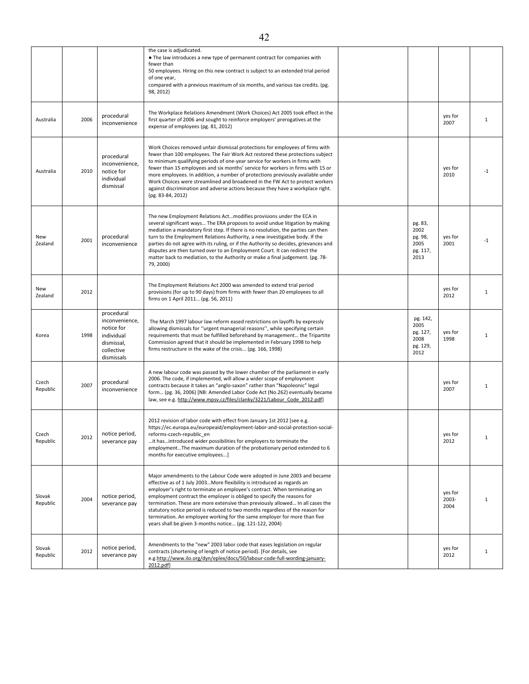|                    |      |                                                                                                    | the case is adjudicated.<br>• The law introduces a new type of permanent contract for companies with<br>fewer than<br>50 employees. Hiring on this new contract is subject to an extended trial period<br>of one year,<br>compared with a previous maximum of six months, and various tax credits. (pg.<br>98, 2012)                                                                                                                                                                                                                                                                                                   |                                                          |                          |              |
|--------------------|------|----------------------------------------------------------------------------------------------------|------------------------------------------------------------------------------------------------------------------------------------------------------------------------------------------------------------------------------------------------------------------------------------------------------------------------------------------------------------------------------------------------------------------------------------------------------------------------------------------------------------------------------------------------------------------------------------------------------------------------|----------------------------------------------------------|--------------------------|--------------|
| Australia          | 2006 | procedural<br>inconvenience                                                                        | The Workplace Relations Amendment (Work Choices) Act 2005 took effect in the<br>first quarter of 2006 and sought to reinforce employers' prerogatives at the<br>expense of employees (pg. 81, 2012)                                                                                                                                                                                                                                                                                                                                                                                                                    |                                                          | yes for<br>2007          | 1            |
| Australia          | 2010 | procedural<br>inconvenience,<br>notice for<br>individual<br>dismissal                              | Work Choices removed unfair dismissal protections for employees of firms with<br>fewer than 100 employees. The Fair Work Act restored these protections subject<br>to minimum qualifying periods of one-year service for workers in firms with<br>fewer than 15 employees and six months' service for workers in firms with 15 or<br>more employees. In addition, a number of protections previously available under<br>Work Choices were streamlined and broadened in the FW Act to protect workers<br>against discrimination and adverse actions because they have a workplace right.<br>(pg. 83-84, 2012)           |                                                          | yes for<br>2010          | $-1$         |
| New<br>Zealand     | 2001 | procedural<br>inconvenience                                                                        | The new Employment Relations Act modifies provisions under the ECA in<br>several significant ways The ERA proposes to avoid undue litigation by making<br>mediation a mandatory first step. If there is no resolution, the parties can then<br>turn to the Employment Relations Authority, a new investigative body. If the<br>parties do not agree with its ruling, or if the Authority so decides, grievances and<br>disputes are then turned over to an Employment Court. It can redirect the<br>matter back to mediation, to the Authority or make a final judgement. (pg. 78-<br>79, 2000)                        | pg. 83,<br>2002<br>pg. 98,<br>2005<br>pg. 117,<br>2013   | yes for<br>2001          | $-1$         |
| New<br>Zealand     | 2012 |                                                                                                    | The Employment Relations Act 2000 was amended to extend trial period<br>provisions (for up to 90 days) from firms with fewer than 20 employees to all<br>firms on 1 April 2011 (pg. 56, 2011)                                                                                                                                                                                                                                                                                                                                                                                                                          |                                                          | yes for<br>2012          | 1            |
| Korea              | 1998 | procedural<br>inconvenience,<br>notice for<br>individual<br>dismissal,<br>collective<br>dismissals | The March 1997 labour law reform eased restrictions on layoffs by expressly<br>allowing dismissals for "urgent managerial reasons", while specifying certain<br>requirements that must be fulfilled beforehand by management the Tripartite<br>Commission agreed that it should be implemented in February 1998 to help<br>firms restructure in the wake of the crisis (pg. 166, 1998)                                                                                                                                                                                                                                 | pg. 142,<br>2005<br>pg. 127,<br>2008<br>pg. 129,<br>2012 | yes for<br>1998          | $\mathbf{1}$ |
| Czech<br>Republic  | 2007 | procedural<br>inconvenience                                                                        | A new labour code was passed by the lower chamber of the parliament in early<br>2006. The code, if implemented, will allow a wider scope of employment<br>contracts because it takes an "anglo-saxon" rather than "Napoleonic" legal<br>form (pg. 36, 2006) [NB: Amended Labor Code Act (No.262) eventually became<br>law, see e.g. http://www.mpsv.cz/files/clanky/3221/Labour Code 2012.pdf]                                                                                                                                                                                                                         |                                                          | yes for<br>2007          | 1            |
| Czech<br>Republic  | 2012 | notice period,<br>severance pay                                                                    | 2012 revision of labor code with effect from January 1st 2012 [see e.g.<br>https://ec.europa.eu/europeaid/employment-labor-and-social-protection-social-<br>reforms-czech-republic_en<br>it has introduced wider possibilities for employers to terminate the<br>employmentThe maximum duration of the probationary period extended to 6<br>months for executive employees]                                                                                                                                                                                                                                            |                                                          | yes for<br>2012          | $\mathbf{1}$ |
| Slovak<br>Republic | 2004 | notice period,<br>severance pay                                                                    | Major amendments to the Labour Code were adopted in June 2003 and became<br>effective as of 1 July 2003More flexibility is introduced as regards an<br>employer's right to terminate an employee's contract. When terminating an<br>employment contract the employer is obliged to specify the reasons for<br>termination. These are more extensive than previously allowed In all cases the<br>statutory notice period is reduced to two months regardless of the reason for<br>termination. An employee working for the same employer for more than five<br>years shall be given 3-months notice (pg. 121-122, 2004) |                                                          | yes for<br>2003-<br>2004 | $\mathbf{1}$ |
| Slovak<br>Republic | 2012 | notice period,<br>severance pay                                                                    | Amendments to the "new" 2003 labor code that eases legislation on regular<br>contracts (shortening of length of notice period). [For details, see<br>e.g.http://www.ilo.org/dyn/eplex/docs/50/labour-code-full-wording-january-<br>2012.pdf]                                                                                                                                                                                                                                                                                                                                                                           |                                                          | yes for<br>2012          | $\mathbf{1}$ |